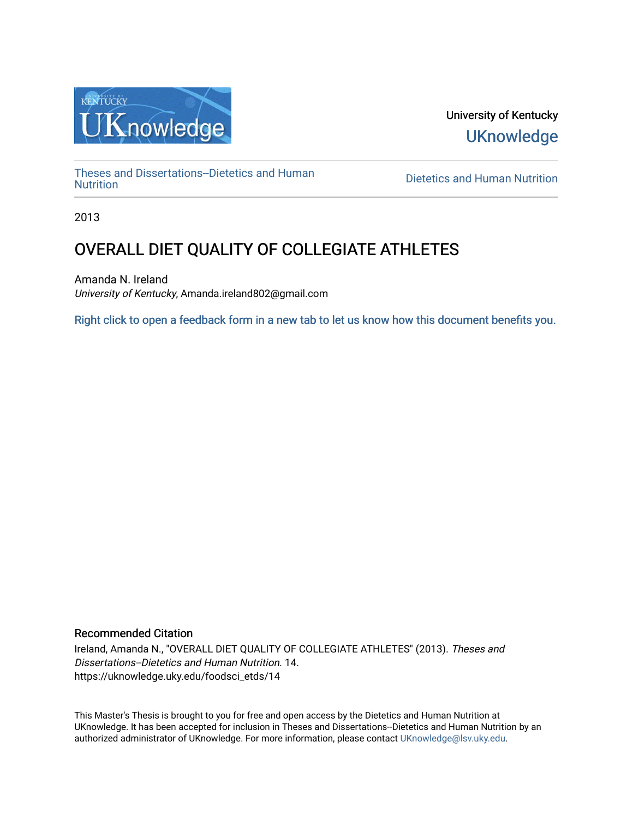

University of Kentucky **UKnowledge** 

[Theses and Dissertations--Dietetics and Human](https://uknowledge.uky.edu/foodsci_etds)

**Dietetics and Human [Nutrition](https://uknowledge.uky.edu/foodsci_etds)** 

2013

# OVERALL DIET QUALITY OF COLLEGIATE ATHLETES

Amanda N. Ireland University of Kentucky, Amanda.ireland802@gmail.com

[Right click to open a feedback form in a new tab to let us know how this document benefits you.](https://uky.az1.qualtrics.com/jfe/form/SV_9mq8fx2GnONRfz7)

# Recommended Citation

Ireland, Amanda N., "OVERALL DIET QUALITY OF COLLEGIATE ATHLETES" (2013). Theses and Dissertations--Dietetics and Human Nutrition. 14. https://uknowledge.uky.edu/foodsci\_etds/14

This Master's Thesis is brought to you for free and open access by the Dietetics and Human Nutrition at UKnowledge. It has been accepted for inclusion in Theses and Dissertations--Dietetics and Human Nutrition by an authorized administrator of UKnowledge. For more information, please contact [UKnowledge@lsv.uky.edu](mailto:UKnowledge@lsv.uky.edu).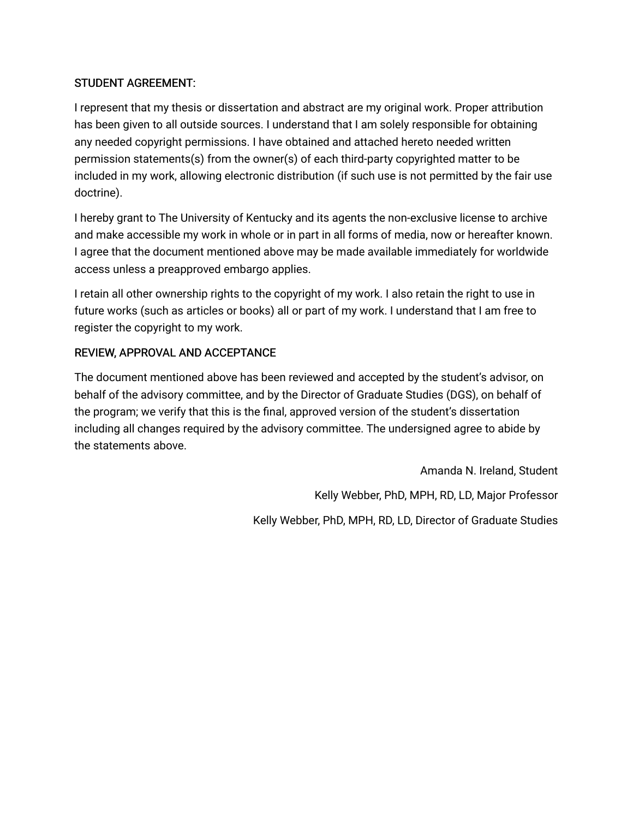# STUDENT AGREEMENT:

I represent that my thesis or dissertation and abstract are my original work. Proper attribution has been given to all outside sources. I understand that I am solely responsible for obtaining any needed copyright permissions. I have obtained and attached hereto needed written permission statements(s) from the owner(s) of each third-party copyrighted matter to be included in my work, allowing electronic distribution (if such use is not permitted by the fair use doctrine).

I hereby grant to The University of Kentucky and its agents the non-exclusive license to archive and make accessible my work in whole or in part in all forms of media, now or hereafter known. I agree that the document mentioned above may be made available immediately for worldwide access unless a preapproved embargo applies.

I retain all other ownership rights to the copyright of my work. I also retain the right to use in future works (such as articles or books) all or part of my work. I understand that I am free to register the copyright to my work.

# REVIEW, APPROVAL AND ACCEPTANCE

The document mentioned above has been reviewed and accepted by the student's advisor, on behalf of the advisory committee, and by the Director of Graduate Studies (DGS), on behalf of the program; we verify that this is the final, approved version of the student's dissertation including all changes required by the advisory committee. The undersigned agree to abide by the statements above.

> Amanda N. Ireland, Student Kelly Webber, PhD, MPH, RD, LD, Major Professor Kelly Webber, PhD, MPH, RD, LD, Director of Graduate Studies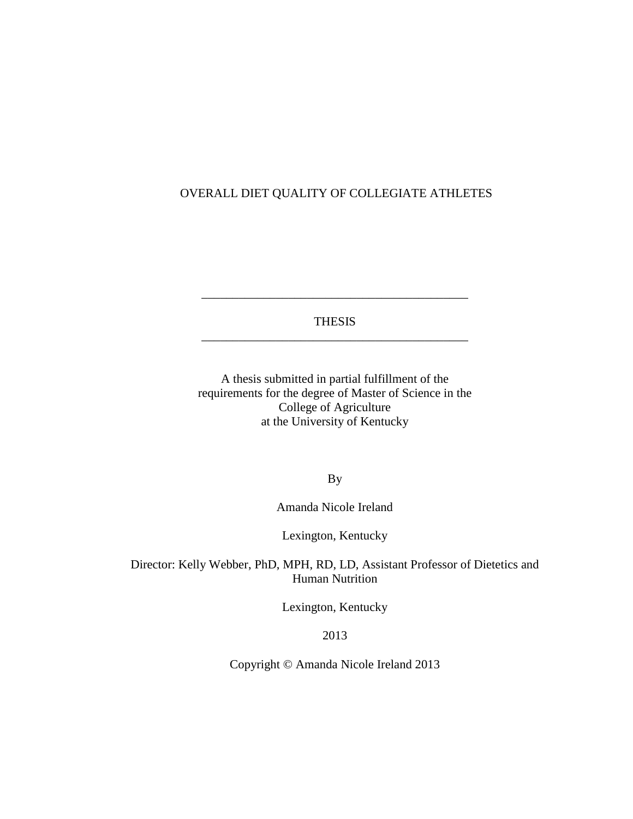# OVERALL DIET QUALITY OF COLLEGIATE ATHLETES

THESIS \_\_\_\_\_\_\_\_\_\_\_\_\_\_\_\_\_\_\_\_\_\_\_\_\_\_\_\_\_\_\_\_\_\_\_\_\_\_\_\_\_\_\_

\_\_\_\_\_\_\_\_\_\_\_\_\_\_\_\_\_\_\_\_\_\_\_\_\_\_\_\_\_\_\_\_\_\_\_\_\_\_\_\_\_\_\_

A thesis submitted in partial fulfillment of the requirements for the degree of Master of Science in the College of Agriculture at the University of Kentucky

By

Amanda Nicole Ireland

Lexington, Kentucky

Director: Kelly Webber, PhD, MPH, RD, LD, Assistant Professor of Dietetics and Human Nutrition

Lexington, Kentucky

2013

Copyright © Amanda Nicole Ireland 2013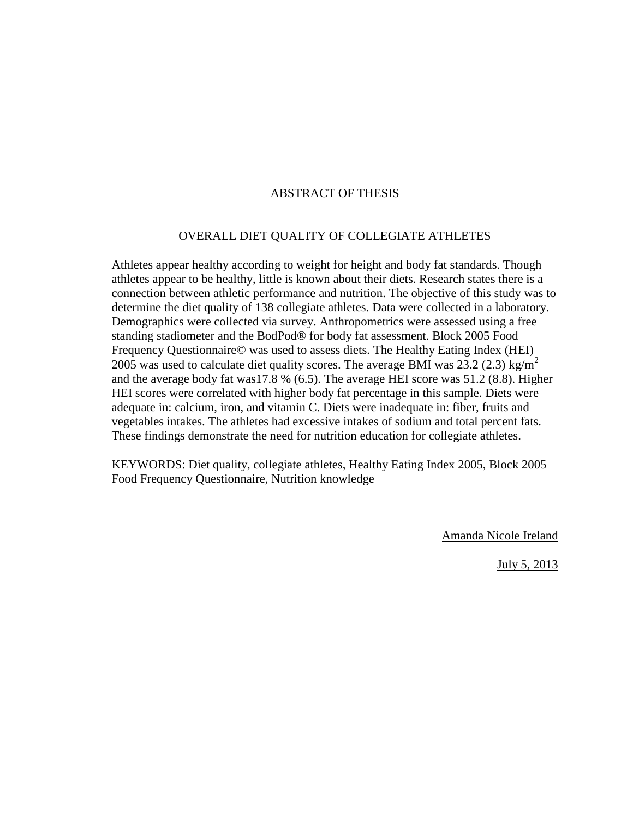# ABSTRACT OF THESIS

# OVERALL DIET QUALITY OF COLLEGIATE ATHLETES

Athletes appear healthy according to weight for height and body fat standards. Though athletes appear to be healthy, little is known about their diets. Research states there is a connection between athletic performance and nutrition. The objective of this study was to determine the diet quality of 138 collegiate athletes. Data were collected in a laboratory. Demographics were collected via survey. Anthropometrics were assessed using a free standing stadiometer and the BodPod® for body fat assessment. Block 2005 Food Frequency Questionnaire© was used to assess diets. The Healthy Eating Index (HEI) 2005 was used to calculate diet quality scores. The average BMI was 23.2 (2.3) kg/m<sup>2</sup> and the average body fat was17.8 % (6.5). The average HEI score was 51.2 (8.8). Higher HEI scores were correlated with higher body fat percentage in this sample. Diets were adequate in: calcium, iron, and vitamin C. Diets were inadequate in: fiber, fruits and vegetables intakes. The athletes had excessive intakes of sodium and total percent fats. These findings demonstrate the need for nutrition education for collegiate athletes.

KEYWORDS: Diet quality, collegiate athletes, Healthy Eating Index 2005, Block 2005 Food Frequency Questionnaire, Nutrition knowledge

Amanda Nicole Ireland

July 5, 2013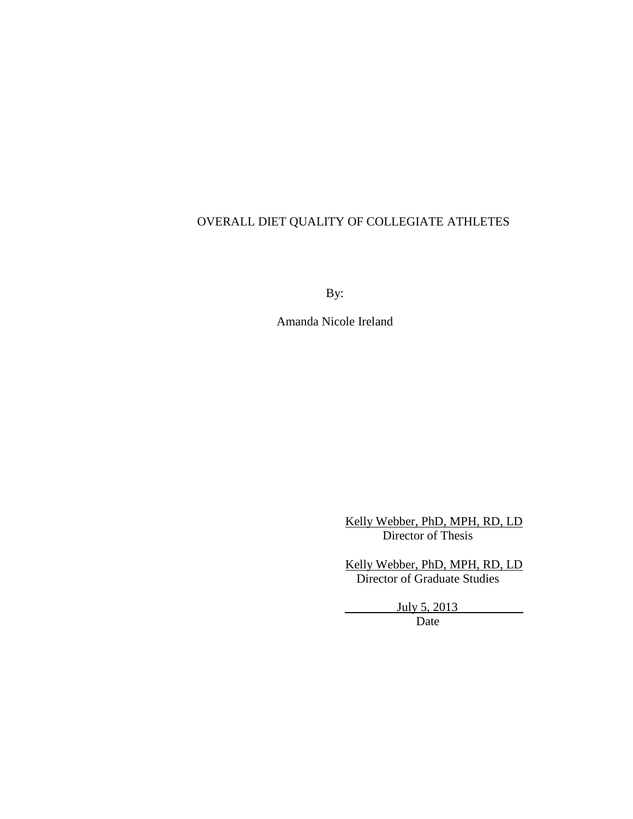# OVERALL DIET QUALITY OF COLLEGIATE ATHLETES

By:

Amanda Nicole Ireland

 Kelly Webber, PhD, MPH, RD, LD Director of Thesis

 Kelly Webber, PhD, MPH, RD, LD Director of Graduate Studies

> July 5, 2013 Date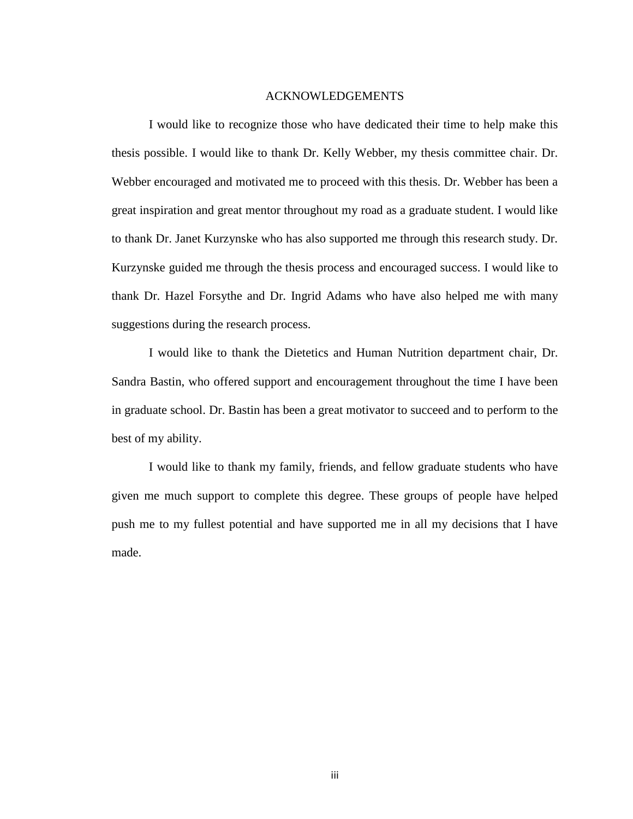#### ACKNOWLEDGEMENTS

<span id="page-5-0"></span>I would like to recognize those who have dedicated their time to help make this thesis possible. I would like to thank Dr. Kelly Webber, my thesis committee chair. Dr. Webber encouraged and motivated me to proceed with this thesis. Dr. Webber has been a great inspiration and great mentor throughout my road as a graduate student. I would like to thank Dr. Janet Kurzynske who has also supported me through this research study. Dr. Kurzynske guided me through the thesis process and encouraged success. I would like to thank Dr. Hazel Forsythe and Dr. Ingrid Adams who have also helped me with many suggestions during the research process.

I would like to thank the Dietetics and Human Nutrition department chair, Dr. Sandra Bastin, who offered support and encouragement throughout the time I have been in graduate school. Dr. Bastin has been a great motivator to succeed and to perform to the best of my ability.

I would like to thank my family, friends, and fellow graduate students who have given me much support to complete this degree. These groups of people have helped push me to my fullest potential and have supported me in all my decisions that I have made.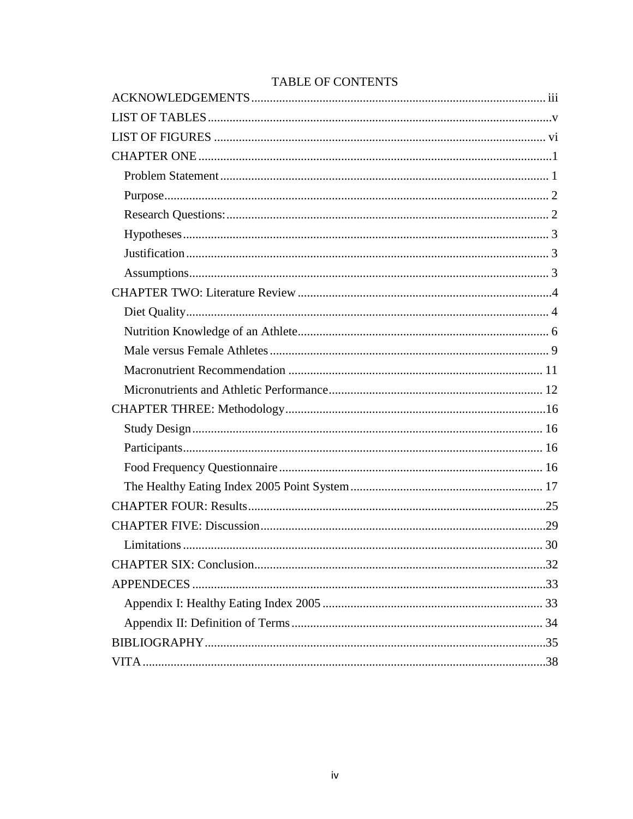# TABLE OF CONTENTS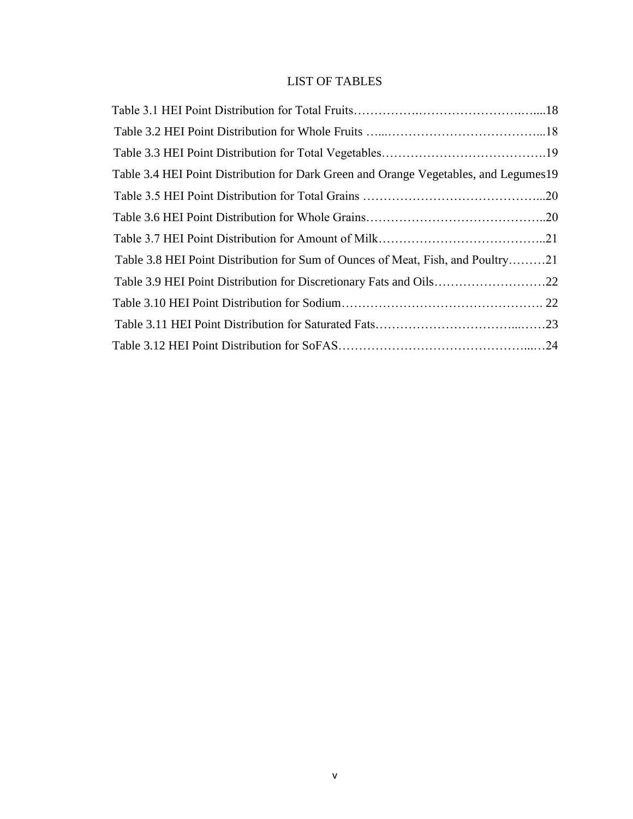# LIST OF TABLES

<span id="page-7-0"></span>

| Table 3.4 HEI Point Distribution for Dark Green and Orange Vegetables, and Legumes 19 |  |
|---------------------------------------------------------------------------------------|--|
|                                                                                       |  |
|                                                                                       |  |
|                                                                                       |  |
| Table 3.8 HEI Point Distribution for Sum of Ounces of Meat, Fish, and Poultry21       |  |
|                                                                                       |  |
|                                                                                       |  |
|                                                                                       |  |
|                                                                                       |  |
|                                                                                       |  |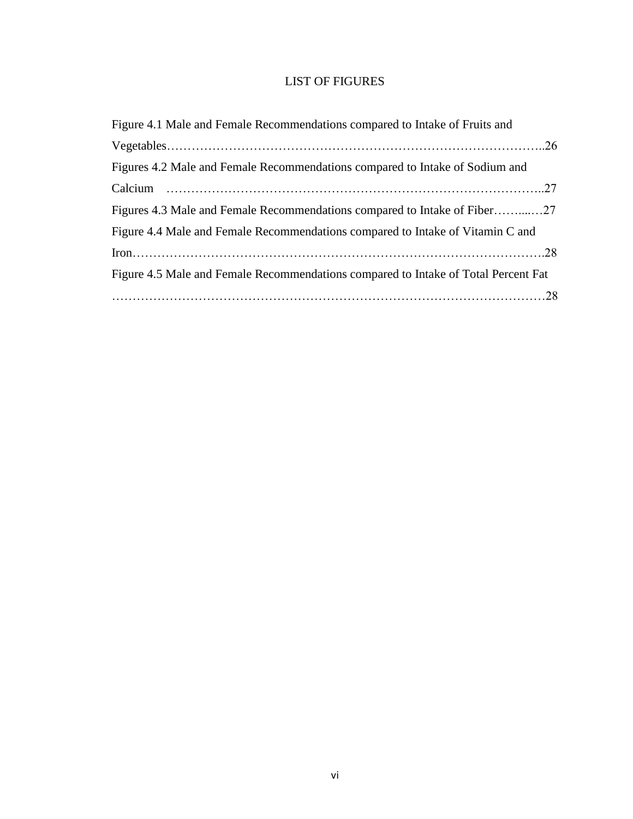# LIST OF FIGURES

<span id="page-8-0"></span>

| Figure 4.1 Male and Female Recommendations compared to Intake of Fruits and        |  |
|------------------------------------------------------------------------------------|--|
|                                                                                    |  |
| Figures 4.2 Male and Female Recommendations compared to Intake of Sodium and       |  |
|                                                                                    |  |
|                                                                                    |  |
| Figure 4.4 Male and Female Recommendations compared to Intake of Vitamin C and     |  |
|                                                                                    |  |
| Figure 4.5 Male and Female Recommendations compared to Intake of Total Percent Fat |  |
|                                                                                    |  |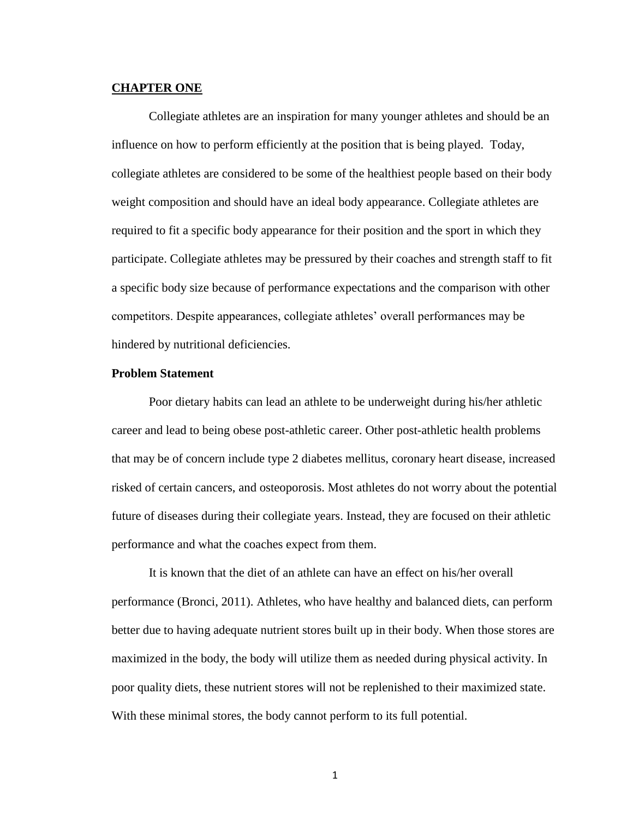#### <span id="page-9-0"></span>**CHAPTER ONE**

Collegiate athletes are an inspiration for many younger athletes and should be an influence on how to perform efficiently at the position that is being played. Today, collegiate athletes are considered to be some of the healthiest people based on their body weight composition and should have an ideal body appearance. Collegiate athletes are required to fit a specific body appearance for their position and the sport in which they participate. Collegiate athletes may be pressured by their coaches and strength staff to fit a specific body size because of performance expectations and the comparison with other competitors. Despite appearances, collegiate athletes' overall performances may be hindered by nutritional deficiencies.

### <span id="page-9-1"></span>**Problem Statement**

Poor dietary habits can lead an athlete to be underweight during his/her athletic career and lead to being obese post-athletic career. Other post-athletic health problems that may be of concern include type 2 diabetes mellitus, coronary heart disease, increased risked of certain cancers, and osteoporosis. Most athletes do not worry about the potential future of diseases during their collegiate years. Instead, they are focused on their athletic performance and what the coaches expect from them.

It is known that the diet of an athlete can have an effect on his/her overall performance (Bronci, 2011). Athletes, who have healthy and balanced diets, can perform better due to having adequate nutrient stores built up in their body. When those stores are maximized in the body, the body will utilize them as needed during physical activity. In poor quality diets, these nutrient stores will not be replenished to their maximized state. With these minimal stores, the body cannot perform to its full potential.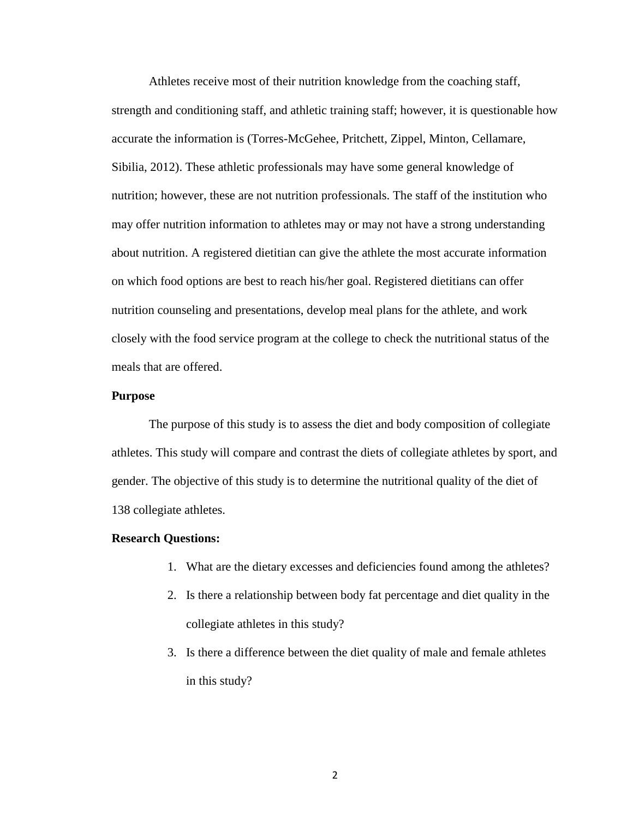Athletes receive most of their nutrition knowledge from the coaching staff, strength and conditioning staff, and athletic training staff; however, it is questionable how accurate the information is (Torres-McGehee, Pritchett, Zippel, Minton, Cellamare, Sibilia, 2012). These athletic professionals may have some general knowledge of nutrition; however, these are not nutrition professionals. The staff of the institution who may offer nutrition information to athletes may or may not have a strong understanding about nutrition. A registered dietitian can give the athlete the most accurate information on which food options are best to reach his/her goal. Registered dietitians can offer nutrition counseling and presentations, develop meal plans for the athlete, and work closely with the food service program at the college to check the nutritional status of the meals that are offered.

#### <span id="page-10-0"></span>**Purpose**

The purpose of this study is to assess the diet and body composition of collegiate athletes. This study will compare and contrast the diets of collegiate athletes by sport, and gender. The objective of this study is to determine the nutritional quality of the diet of 138 collegiate athletes.

#### <span id="page-10-1"></span>**Research Questions:**

- 1. What are the dietary excesses and deficiencies found among the athletes?
- 2. Is there a relationship between body fat percentage and diet quality in the collegiate athletes in this study?
- 3. Is there a difference between the diet quality of male and female athletes in this study?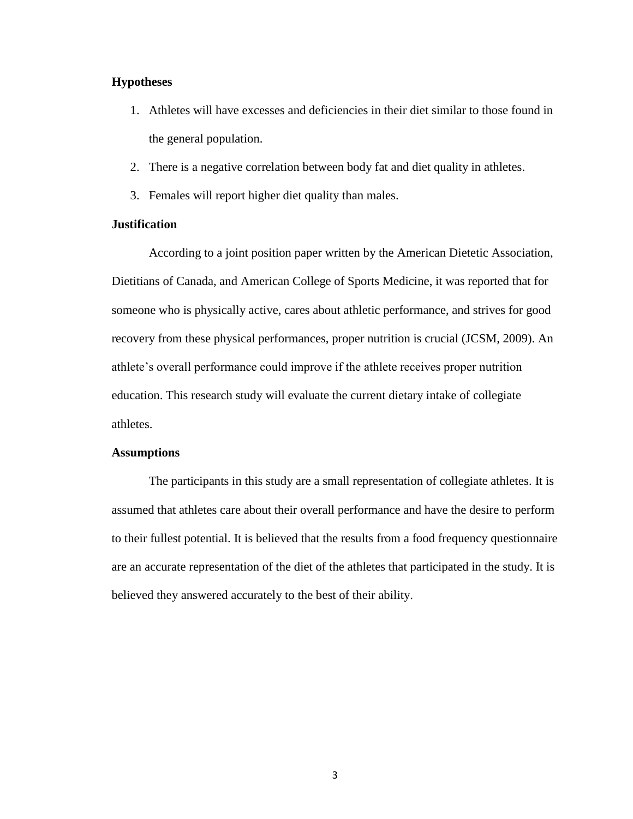# <span id="page-11-0"></span>**Hypotheses**

- 1. Athletes will have excesses and deficiencies in their diet similar to those found in the general population.
- 2. There is a negative correlation between body fat and diet quality in athletes.
- 3. Females will report higher diet quality than males.

### <span id="page-11-1"></span>**Justification**

According to a joint position paper written by the American Dietetic Association, Dietitians of Canada, and American College of Sports Medicine, it was reported that for someone who is physically active, cares about athletic performance, and strives for good recovery from these physical performances, proper nutrition is crucial (JCSM, 2009). An athlete's overall performance could improve if the athlete receives proper nutrition education. This research study will evaluate the current dietary intake of collegiate athletes.

#### <span id="page-11-2"></span>**Assumptions**

The participants in this study are a small representation of collegiate athletes. It is assumed that athletes care about their overall performance and have the desire to perform to their fullest potential. It is believed that the results from a food frequency questionnaire are an accurate representation of the diet of the athletes that participated in the study. It is believed they answered accurately to the best of their ability.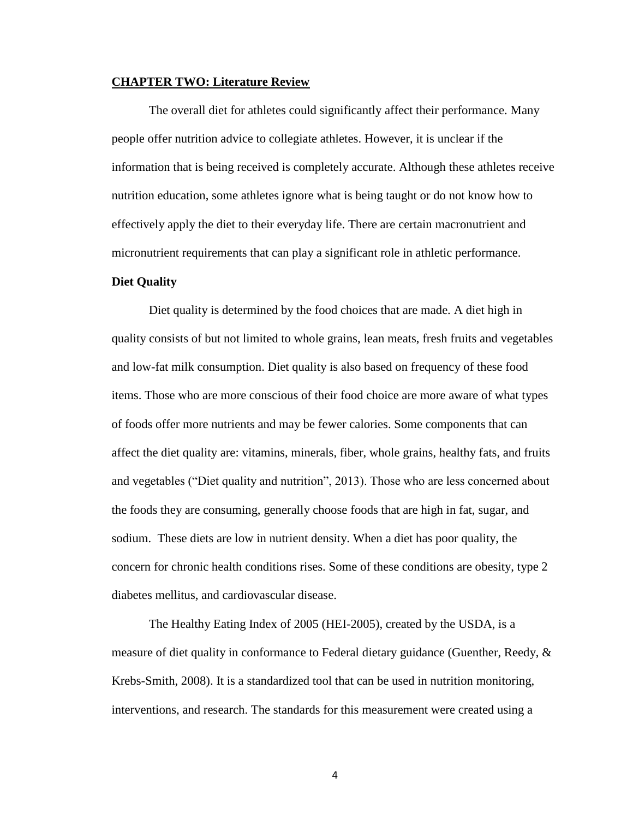## <span id="page-12-0"></span>**CHAPTER TWO: Literature Review**

The overall diet for athletes could significantly affect their performance. Many people offer nutrition advice to collegiate athletes. However, it is unclear if the information that is being received is completely accurate. Although these athletes receive nutrition education, some athletes ignore what is being taught or do not know how to effectively apply the diet to their everyday life. There are certain macronutrient and micronutrient requirements that can play a significant role in athletic performance.

#### <span id="page-12-1"></span>**Diet Quality**

Diet quality is determined by the food choices that are made. A diet high in quality consists of but not limited to whole grains, lean meats, fresh fruits and vegetables and low-fat milk consumption. Diet quality is also based on frequency of these food items. Those who are more conscious of their food choice are more aware of what types of foods offer more nutrients and may be fewer calories. Some components that can affect the diet quality are: vitamins, minerals, fiber, whole grains, healthy fats, and fruits and vegetables ("Diet quality and nutrition", 2013). Those who are less concerned about the foods they are consuming, generally choose foods that are high in fat, sugar, and sodium. These diets are low in nutrient density. When a diet has poor quality, the concern for chronic health conditions rises. Some of these conditions are obesity, type 2 diabetes mellitus, and cardiovascular disease.

The Healthy Eating Index of 2005 (HEI-2005), created by the USDA, is a measure of diet quality in conformance to Federal dietary guidance (Guenther, Reedy, & Krebs-Smith, 2008). It is a standardized tool that can be used in nutrition monitoring, interventions, and research. The standards for this measurement were created using a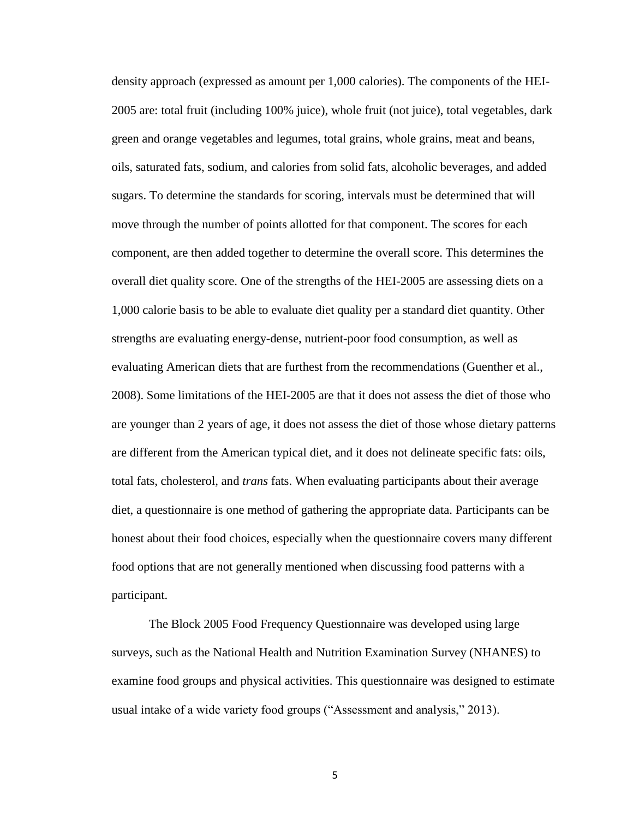density approach (expressed as amount per 1,000 calories). The components of the HEI-2005 are: total fruit (including 100% juice), whole fruit (not juice), total vegetables, dark green and orange vegetables and legumes, total grains, whole grains, meat and beans, oils, saturated fats, sodium, and calories from solid fats, alcoholic beverages, and added sugars. To determine the standards for scoring, intervals must be determined that will move through the number of points allotted for that component. The scores for each component, are then added together to determine the overall score. This determines the overall diet quality score. One of the strengths of the HEI-2005 are assessing diets on a 1,000 calorie basis to be able to evaluate diet quality per a standard diet quantity. Other strengths are evaluating energy-dense, nutrient-poor food consumption, as well as evaluating American diets that are furthest from the recommendations (Guenther et al., 2008). Some limitations of the HEI-2005 are that it does not assess the diet of those who are younger than 2 years of age, it does not assess the diet of those whose dietary patterns are different from the American typical diet, and it does not delineate specific fats: oils, total fats, cholesterol, and *trans* fats. When evaluating participants about their average diet, a questionnaire is one method of gathering the appropriate data. Participants can be honest about their food choices, especially when the questionnaire covers many different food options that are not generally mentioned when discussing food patterns with a participant.

The Block 2005 Food Frequency Questionnaire was developed using large surveys, such as the National Health and Nutrition Examination Survey (NHANES) to examine food groups and physical activities. This questionnaire was designed to estimate usual intake of a wide variety food groups ("Assessment and analysis," 2013).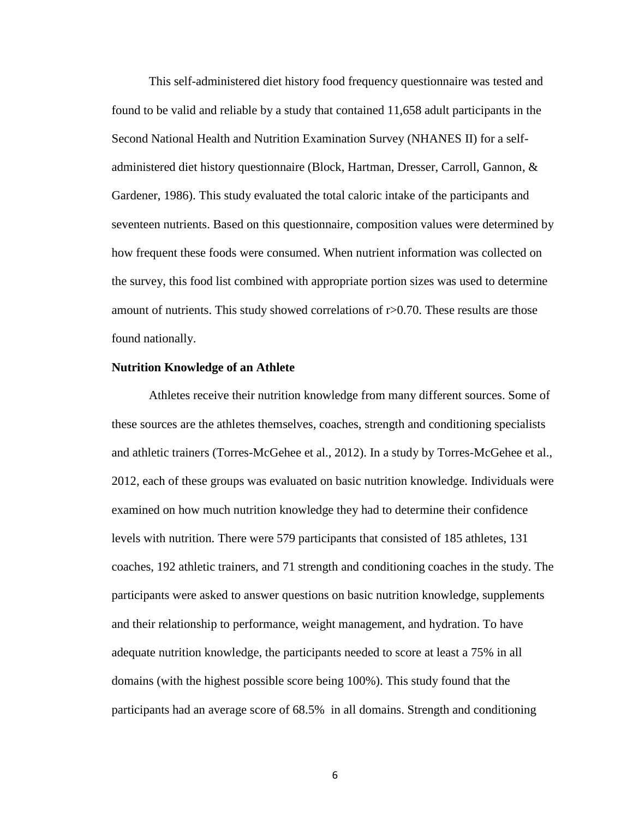This self-administered diet history food frequency questionnaire was tested and found to be valid and reliable by a study that contained 11,658 adult participants in the Second National Health and Nutrition Examination Survey (NHANES II) for a selfadministered diet history questionnaire (Block, Hartman, Dresser, Carroll, Gannon, & Gardener, 1986). This study evaluated the total caloric intake of the participants and seventeen nutrients. Based on this questionnaire, composition values were determined by how frequent these foods were consumed. When nutrient information was collected on the survey, this food list combined with appropriate portion sizes was used to determine amount of nutrients. This study showed correlations of r>0.70. These results are those found nationally.

#### <span id="page-14-0"></span>**Nutrition Knowledge of an Athlete**

Athletes receive their nutrition knowledge from many different sources. Some of these sources are the athletes themselves, coaches, strength and conditioning specialists and athletic trainers (Torres-McGehee et al., 2012). In a study by Torres-McGehee et al., 2012, each of these groups was evaluated on basic nutrition knowledge. Individuals were examined on how much nutrition knowledge they had to determine their confidence levels with nutrition. There were 579 participants that consisted of 185 athletes, 131 coaches, 192 athletic trainers, and 71 strength and conditioning coaches in the study. The participants were asked to answer questions on basic nutrition knowledge, supplements and their relationship to performance, weight management, and hydration. To have adequate nutrition knowledge, the participants needed to score at least a 75% in all domains (with the highest possible score being 100%). This study found that the participants had an average score of 68.5% in all domains. Strength and conditioning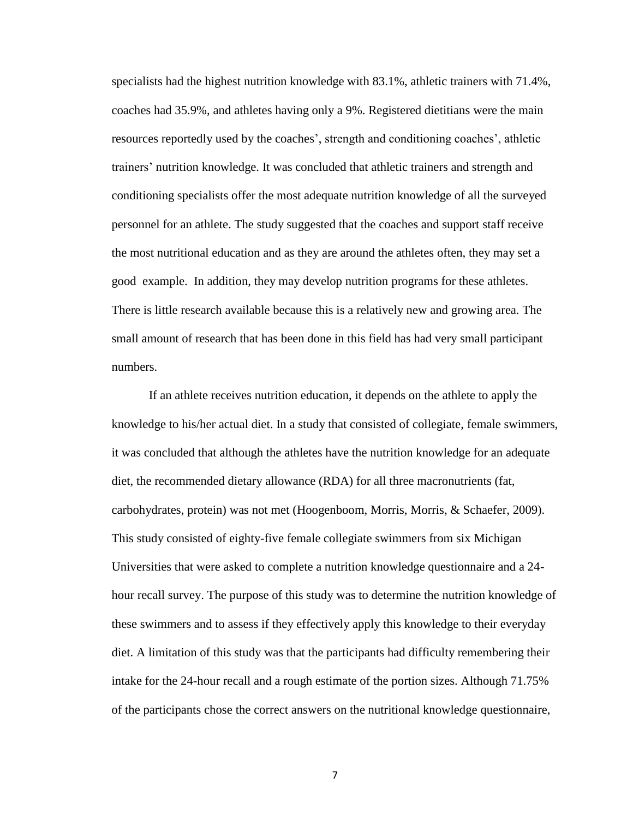specialists had the highest nutrition knowledge with 83.1%, athletic trainers with 71.4%, coaches had 35.9%, and athletes having only a 9%. Registered dietitians were the main resources reportedly used by the coaches', strength and conditioning coaches', athletic trainers' nutrition knowledge. It was concluded that athletic trainers and strength and conditioning specialists offer the most adequate nutrition knowledge of all the surveyed personnel for an athlete. The study suggested that the coaches and support staff receive the most nutritional education and as they are around the athletes often, they may set a good example. In addition, they may develop nutrition programs for these athletes. There is little research available because this is a relatively new and growing area. The small amount of research that has been done in this field has had very small participant numbers.

If an athlete receives nutrition education, it depends on the athlete to apply the knowledge to his/her actual diet. In a study that consisted of collegiate, female swimmers, it was concluded that although the athletes have the nutrition knowledge for an adequate diet, the recommended dietary allowance (RDA) for all three macronutrients (fat, carbohydrates, protein) was not met (Hoogenboom, Morris, Morris, & Schaefer, 2009). This study consisted of eighty-five female collegiate swimmers from six Michigan Universities that were asked to complete a nutrition knowledge questionnaire and a 24 hour recall survey. The purpose of this study was to determine the nutrition knowledge of these swimmers and to assess if they effectively apply this knowledge to their everyday diet. A limitation of this study was that the participants had difficulty remembering their intake for the 24-hour recall and a rough estimate of the portion sizes. Although 71.75% of the participants chose the correct answers on the nutritional knowledge questionnaire,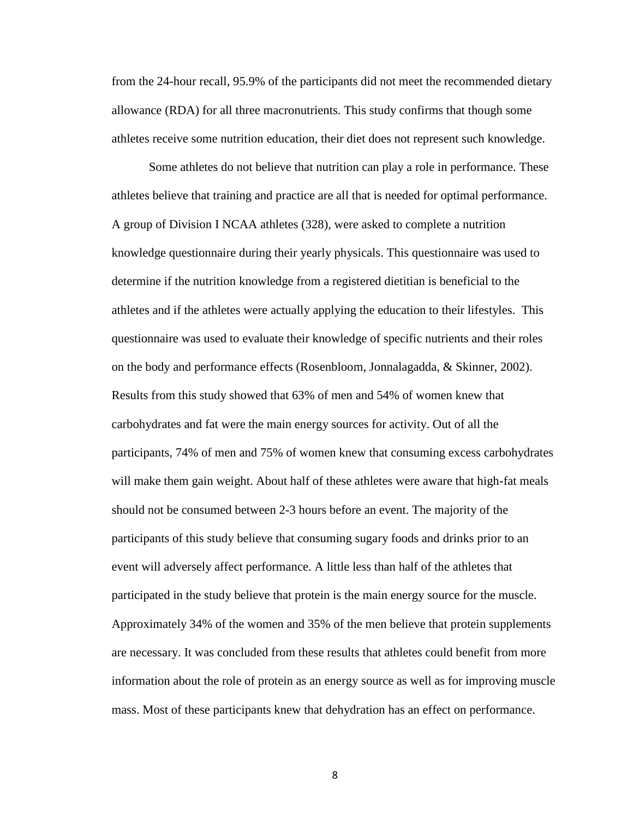from the 24-hour recall, 95.9% of the participants did not meet the recommended dietary allowance (RDA) for all three macronutrients. This study confirms that though some athletes receive some nutrition education, their diet does not represent such knowledge.

Some athletes do not believe that nutrition can play a role in performance. These athletes believe that training and practice are all that is needed for optimal performance. A group of Division I NCAA athletes (328), were asked to complete a nutrition knowledge questionnaire during their yearly physicals. This questionnaire was used to determine if the nutrition knowledge from a registered dietitian is beneficial to the athletes and if the athletes were actually applying the education to their lifestyles. This questionnaire was used to evaluate their knowledge of specific nutrients and their roles on the body and performance effects (Rosenbloom, Jonnalagadda, & Skinner, 2002). Results from this study showed that 63% of men and 54% of women knew that carbohydrates and fat were the main energy sources for activity. Out of all the participants, 74% of men and 75% of women knew that consuming excess carbohydrates will make them gain weight. About half of these athletes were aware that high-fat meals should not be consumed between 2-3 hours before an event. The majority of the participants of this study believe that consuming sugary foods and drinks prior to an event will adversely affect performance. A little less than half of the athletes that participated in the study believe that protein is the main energy source for the muscle. Approximately 34% of the women and 35% of the men believe that protein supplements are necessary. It was concluded from these results that athletes could benefit from more information about the role of protein as an energy source as well as for improving muscle mass. Most of these participants knew that dehydration has an effect on performance.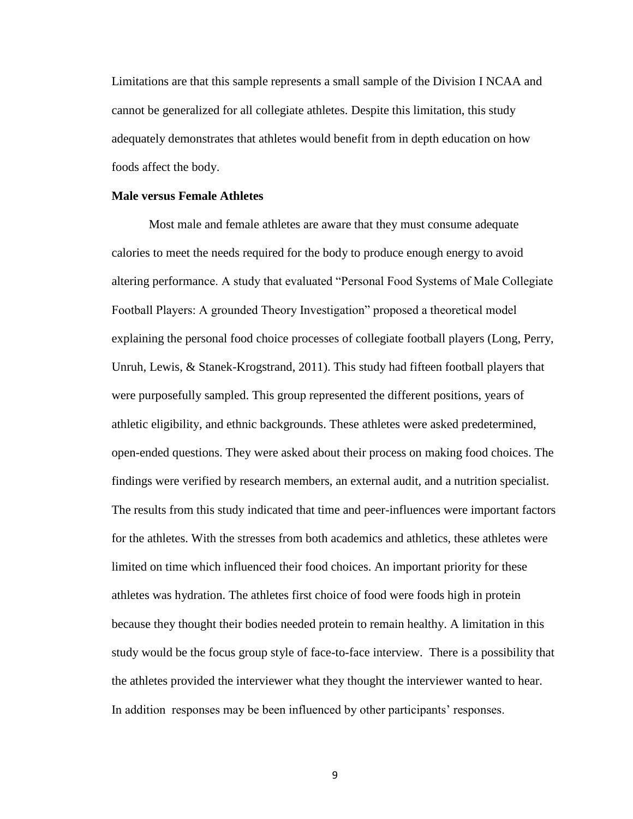Limitations are that this sample represents a small sample of the Division I NCAA and cannot be generalized for all collegiate athletes. Despite this limitation, this study adequately demonstrates that athletes would benefit from in depth education on how foods affect the body.

### <span id="page-17-0"></span>**Male versus Female Athletes**

Most male and female athletes are aware that they must consume adequate calories to meet the needs required for the body to produce enough energy to avoid altering performance. A study that evaluated "Personal Food Systems of Male Collegiate Football Players: A grounded Theory Investigation" proposed a theoretical model explaining the personal food choice processes of collegiate football players (Long, Perry, Unruh, Lewis, & Stanek-Krogstrand, 2011). This study had fifteen football players that were purposefully sampled. This group represented the different positions, years of athletic eligibility, and ethnic backgrounds. These athletes were asked predetermined, open-ended questions. They were asked about their process on making food choices. The findings were verified by research members, an external audit, and a nutrition specialist. The results from this study indicated that time and peer-influences were important factors for the athletes. With the stresses from both academics and athletics, these athletes were limited on time which influenced their food choices. An important priority for these athletes was hydration. The athletes first choice of food were foods high in protein because they thought their bodies needed protein to remain healthy. A limitation in this study would be the focus group style of face-to-face interview. There is a possibility that the athletes provided the interviewer what they thought the interviewer wanted to hear. In addition responses may be been influenced by other participants' responses.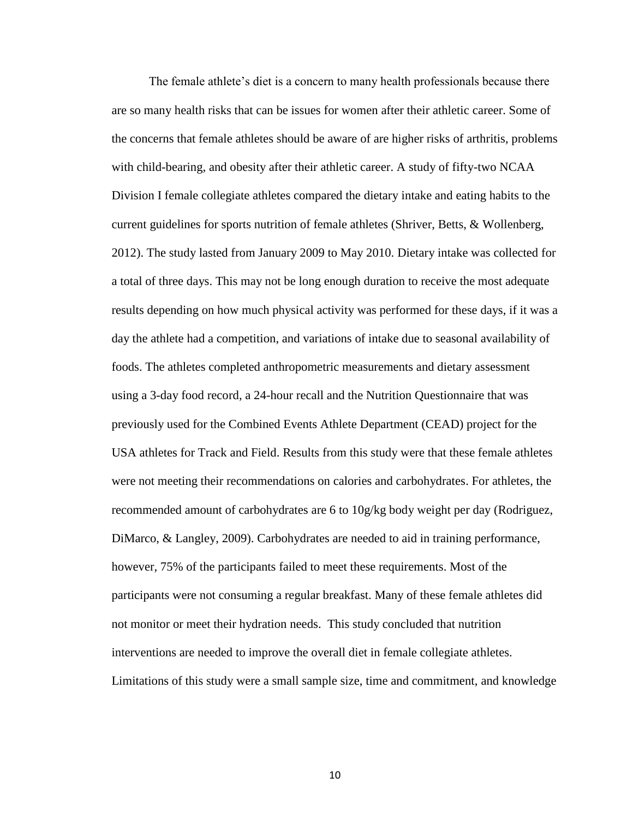The female athlete's diet is a concern to many health professionals because there are so many health risks that can be issues for women after their athletic career. Some of the concerns that female athletes should be aware of are higher risks of arthritis, problems with child-bearing, and obesity after their athletic career. A study of fifty-two NCAA Division I female collegiate athletes compared the dietary intake and eating habits to the current guidelines for sports nutrition of female athletes (Shriver, Betts, & Wollenberg, 2012). The study lasted from January 2009 to May 2010. Dietary intake was collected for a total of three days. This may not be long enough duration to receive the most adequate results depending on how much physical activity was performed for these days, if it was a day the athlete had a competition, and variations of intake due to seasonal availability of foods. The athletes completed anthropometric measurements and dietary assessment using a 3-day food record, a 24-hour recall and the Nutrition Questionnaire that was previously used for the Combined Events Athlete Department (CEAD) project for the USA athletes for Track and Field. Results from this study were that these female athletes were not meeting their recommendations on calories and carbohydrates. For athletes, the recommended amount of carbohydrates are 6 to 10g/kg body weight per day (Rodriguez, DiMarco, & Langley, 2009). Carbohydrates are needed to aid in training performance, however, 75% of the participants failed to meet these requirements. Most of the participants were not consuming a regular breakfast. Many of these female athletes did not monitor or meet their hydration needs. This study concluded that nutrition interventions are needed to improve the overall diet in female collegiate athletes. Limitations of this study were a small sample size, time and commitment, and knowledge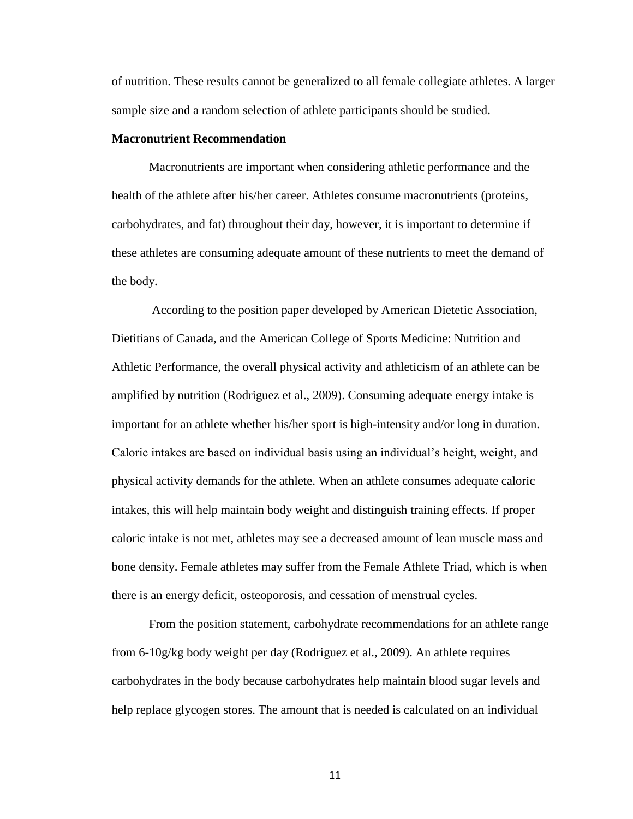of nutrition. These results cannot be generalized to all female collegiate athletes. A larger sample size and a random selection of athlete participants should be studied.

### <span id="page-19-0"></span>**Macronutrient Recommendation**

Macronutrients are important when considering athletic performance and the health of the athlete after his/her career. Athletes consume macronutrients (proteins, carbohydrates, and fat) throughout their day, however, it is important to determine if these athletes are consuming adequate amount of these nutrients to meet the demand of the body.

According to the position paper developed by American Dietetic Association, Dietitians of Canada, and the American College of Sports Medicine: Nutrition and Athletic Performance, the overall physical activity and athleticism of an athlete can be amplified by nutrition (Rodriguez et al., 2009). Consuming adequate energy intake is important for an athlete whether his/her sport is high-intensity and/or long in duration. Caloric intakes are based on individual basis using an individual's height, weight, and physical activity demands for the athlete. When an athlete consumes adequate caloric intakes, this will help maintain body weight and distinguish training effects. If proper caloric intake is not met, athletes may see a decreased amount of lean muscle mass and bone density. Female athletes may suffer from the Female Athlete Triad, which is when there is an energy deficit, osteoporosis, and cessation of menstrual cycles.

From the position statement, carbohydrate recommendations for an athlete range from 6-10g/kg body weight per day (Rodriguez et al., 2009). An athlete requires carbohydrates in the body because carbohydrates help maintain blood sugar levels and help replace glycogen stores. The amount that is needed is calculated on an individual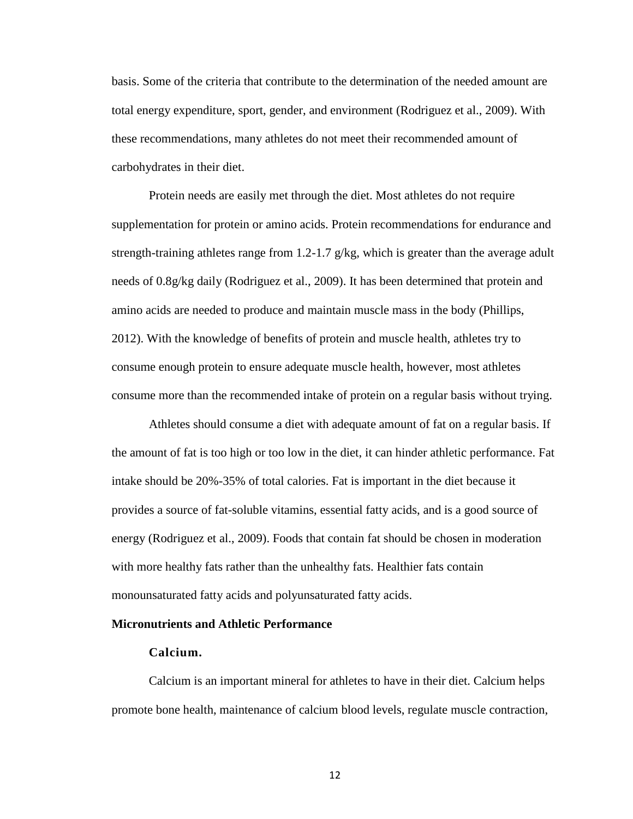basis. Some of the criteria that contribute to the determination of the needed amount are total energy expenditure, sport, gender, and environment (Rodriguez et al., 2009). With these recommendations, many athletes do not meet their recommended amount of carbohydrates in their diet.

Protein needs are easily met through the diet. Most athletes do not require supplementation for protein or amino acids. Protein recommendations for endurance and strength-training athletes range from 1.2-1.7  $g/kg$ , which is greater than the average adult needs of 0.8g/kg daily (Rodriguez et al., 2009). It has been determined that protein and amino acids are needed to produce and maintain muscle mass in the body (Phillips, 2012). With the knowledge of benefits of protein and muscle health, athletes try to consume enough protein to ensure adequate muscle health, however, most athletes consume more than the recommended intake of protein on a regular basis without trying.

Athletes should consume a diet with adequate amount of fat on a regular basis. If the amount of fat is too high or too low in the diet, it can hinder athletic performance. Fat intake should be 20%-35% of total calories. Fat is important in the diet because it provides a source of fat-soluble vitamins, essential fatty acids, and is a good source of energy (Rodriguez et al., 2009). Foods that contain fat should be chosen in moderation with more healthy fats rather than the unhealthy fats. Healthier fats contain monounsaturated fatty acids and polyunsaturated fatty acids.

# <span id="page-20-0"></span>**Micronutrients and Athletic Performance**

#### **Calcium.**

Calcium is an important mineral for athletes to have in their diet. Calcium helps promote bone health, maintenance of calcium blood levels, regulate muscle contraction,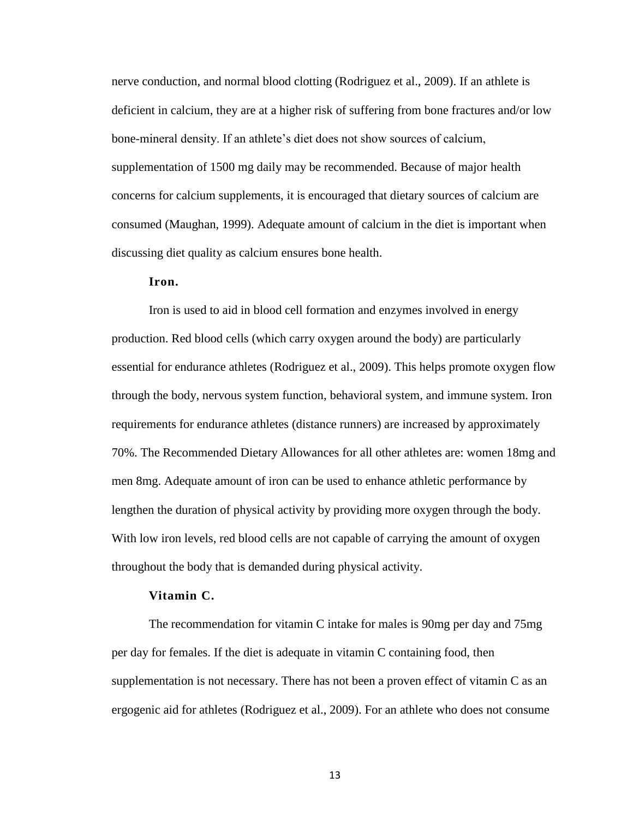nerve conduction, and normal blood clotting (Rodriguez et al., 2009). If an athlete is deficient in calcium, they are at a higher risk of suffering from bone fractures and/or low bone-mineral density. If an athlete's diet does not show sources of calcium, supplementation of 1500 mg daily may be recommended. Because of major health concerns for calcium supplements, it is encouraged that dietary sources of calcium are consumed (Maughan, 1999). Adequate amount of calcium in the diet is important when discussing diet quality as calcium ensures bone health.

# **Iron.**

Iron is used to aid in blood cell formation and enzymes involved in energy production. Red blood cells (which carry oxygen around the body) are particularly essential for endurance athletes (Rodriguez et al., 2009). This helps promote oxygen flow through the body, nervous system function, behavioral system, and immune system. Iron requirements for endurance athletes (distance runners) are increased by approximately 70%. The Recommended Dietary Allowances for all other athletes are: women 18mg and men 8mg. Adequate amount of iron can be used to enhance athletic performance by lengthen the duration of physical activity by providing more oxygen through the body. With low iron levels, red blood cells are not capable of carrying the amount of oxygen throughout the body that is demanded during physical activity.

### **Vitamin C.**

The recommendation for vitamin C intake for males is 90mg per day and 75mg per day for females. If the diet is adequate in vitamin C containing food, then supplementation is not necessary. There has not been a proven effect of vitamin C as an ergogenic aid for athletes (Rodriguez et al., 2009). For an athlete who does not consume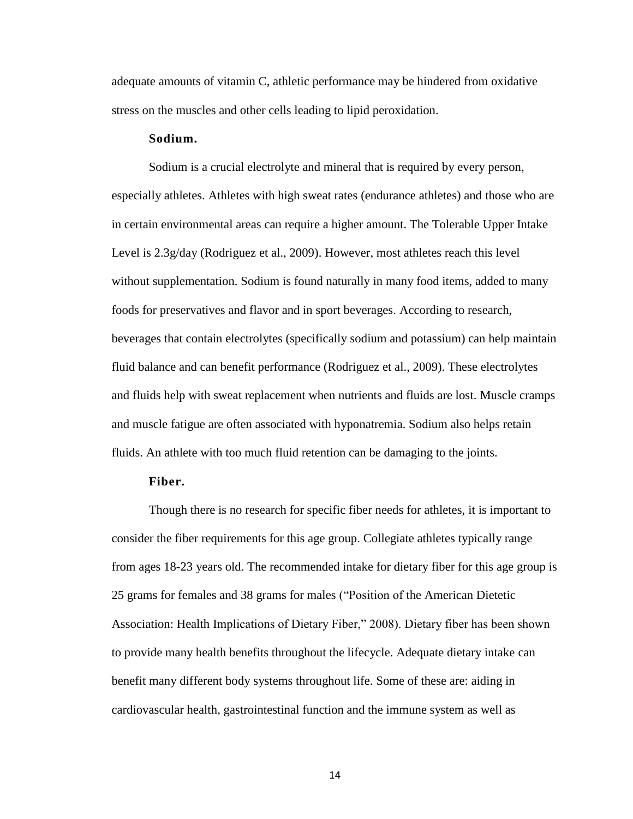adequate amounts of vitamin C, athletic performance may be hindered from oxidative stress on the muscles and other cells leading to lipid peroxidation.

### **Sodium.**

Sodium is a crucial electrolyte and mineral that is required by every person, especially athletes. Athletes with high sweat rates (endurance athletes) and those who are in certain environmental areas can require a higher amount. The Tolerable Upper Intake Level is 2.3g/day (Rodriguez et al., 2009). However, most athletes reach this level without supplementation. Sodium is found naturally in many food items, added to many foods for preservatives and flavor and in sport beverages. According to research, beverages that contain electrolytes (specifically sodium and potassium) can help maintain fluid balance and can benefit performance (Rodriguez et al., 2009). These electrolytes and fluids help with sweat replacement when nutrients and fluids are lost. Muscle cramps and muscle fatigue are often associated with hyponatremia. Sodium also helps retain fluids. An athlete with too much fluid retention can be damaging to the joints.

### **Fiber.**

Though there is no research for specific fiber needs for athletes, it is important to consider the fiber requirements for this age group. Collegiate athletes typically range from ages 18-23 years old. The recommended intake for dietary fiber for this age group is 25 grams for females and 38 grams for males ("Position of the American Dietetic Association: Health Implications of Dietary Fiber," 2008). Dietary fiber has been shown to provide many health benefits throughout the lifecycle. Adequate dietary intake can benefit many different body systems throughout life. Some of these are: aiding in cardiovascular health, gastrointestinal function and the immune system as well as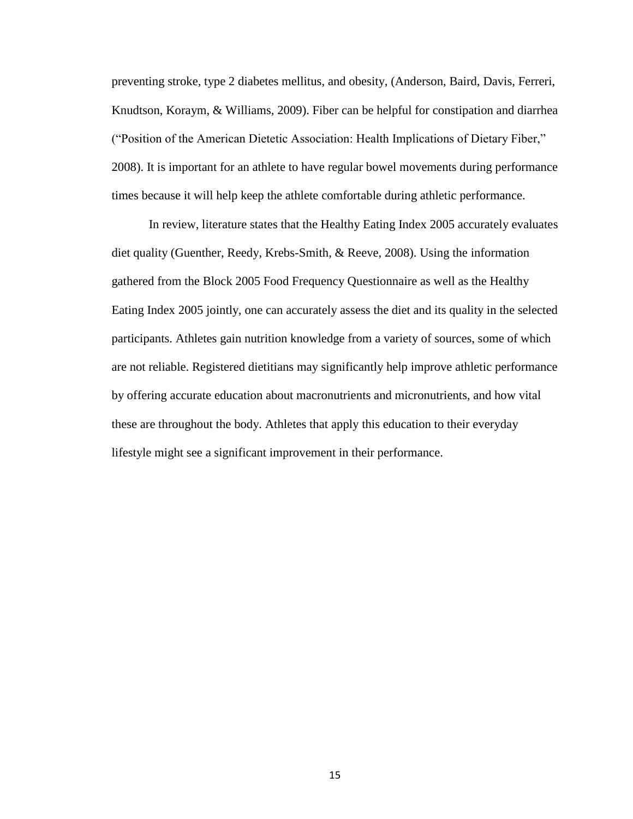preventing stroke, type 2 diabetes mellitus, and obesity, (Anderson, Baird, Davis, Ferreri, Knudtson, Koraym, & Williams, 2009). Fiber can be helpful for constipation and diarrhea ("Position of the American Dietetic Association: Health Implications of Dietary Fiber," 2008). It is important for an athlete to have regular bowel movements during performance times because it will help keep the athlete comfortable during athletic performance.

In review, literature states that the Healthy Eating Index 2005 accurately evaluates diet quality (Guenther, Reedy, Krebs-Smith, & Reeve, 2008). Using the information gathered from the Block 2005 Food Frequency Questionnaire as well as the Healthy Eating Index 2005 jointly, one can accurately assess the diet and its quality in the selected participants. Athletes gain nutrition knowledge from a variety of sources, some of which are not reliable. Registered dietitians may significantly help improve athletic performance by offering accurate education about macronutrients and micronutrients, and how vital these are throughout the body. Athletes that apply this education to their everyday lifestyle might see a significant improvement in their performance.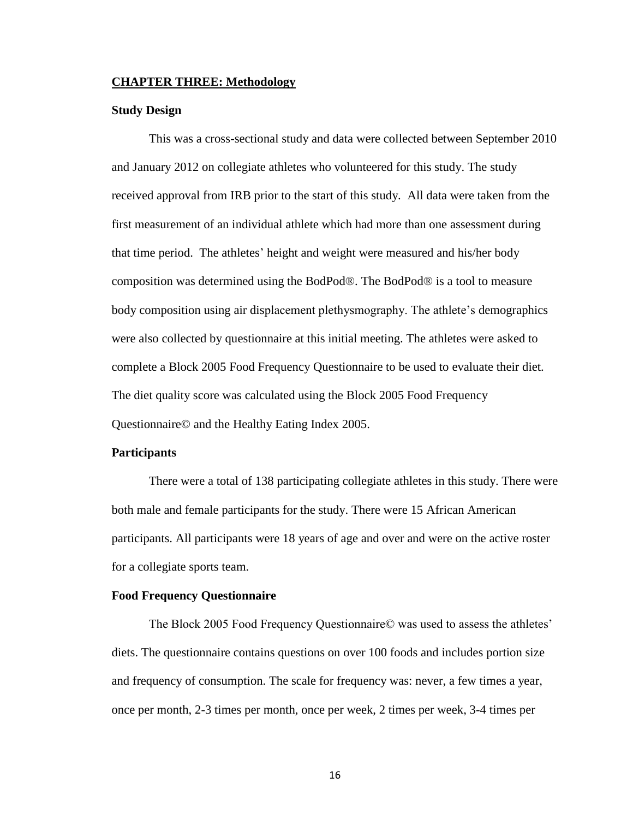#### <span id="page-24-0"></span>**CHAPTER THREE: Methodology**

#### <span id="page-24-1"></span>**Study Design**

This was a cross-sectional study and data were collected between September 2010 and January 2012 on collegiate athletes who volunteered for this study. The study received approval from IRB prior to the start of this study. All data were taken from the first measurement of an individual athlete which had more than one assessment during that time period. The athletes' height and weight were measured and his/her body composition was determined using the BodPod®. The BodPod® is a tool to measure body composition using air displacement plethysmography. The athlete's demographics were also collected by questionnaire at this initial meeting. The athletes were asked to complete a Block 2005 Food Frequency Questionnaire to be used to evaluate their diet. The diet quality score was calculated using the Block 2005 Food Frequency Questionnaire© and the Healthy Eating Index 2005.

#### <span id="page-24-2"></span>**Participants**

There were a total of 138 participating collegiate athletes in this study. There were both male and female participants for the study. There were 15 African American participants. All participants were 18 years of age and over and were on the active roster for a collegiate sports team.

#### <span id="page-24-3"></span>**Food Frequency Questionnaire**

The Block 2005 Food Frequency Questionnaire© was used to assess the athletes' diets. The questionnaire contains questions on over 100 foods and includes portion size and frequency of consumption. The scale for frequency was: never, a few times a year, once per month, 2-3 times per month, once per week, 2 times per week, 3-4 times per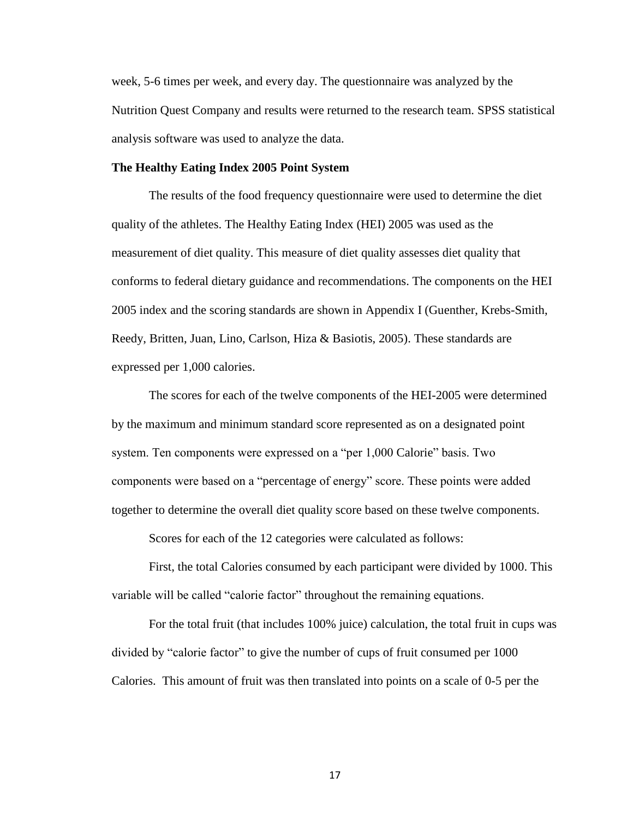week, 5-6 times per week, and every day. The questionnaire was analyzed by the Nutrition Quest Company and results were returned to the research team. SPSS statistical analysis software was used to analyze the data.

# <span id="page-25-0"></span>**The Healthy Eating Index 2005 Point System**

The results of the food frequency questionnaire were used to determine the diet quality of the athletes. The Healthy Eating Index (HEI) 2005 was used as the measurement of diet quality. This measure of diet quality assesses diet quality that conforms to federal dietary guidance and recommendations. The components on the HEI 2005 index and the scoring standards are shown in Appendix I (Guenther, Krebs-Smith, Reedy, Britten, Juan, Lino, Carlson, Hiza & Basiotis, 2005). These standards are expressed per 1,000 calories.

The scores for each of the twelve components of the HEI-2005 were determined by the maximum and minimum standard score represented as on a designated point system. Ten components were expressed on a "per 1,000 Calorie" basis. Two components were based on a "percentage of energy" score. These points were added together to determine the overall diet quality score based on these twelve components.

Scores for each of the 12 categories were calculated as follows:

First, the total Calories consumed by each participant were divided by 1000. This variable will be called "calorie factor" throughout the remaining equations.

For the total fruit (that includes 100% juice) calculation, the total fruit in cups was divided by "calorie factor" to give the number of cups of fruit consumed per 1000 Calories. This amount of fruit was then translated into points on a scale of 0-5 per the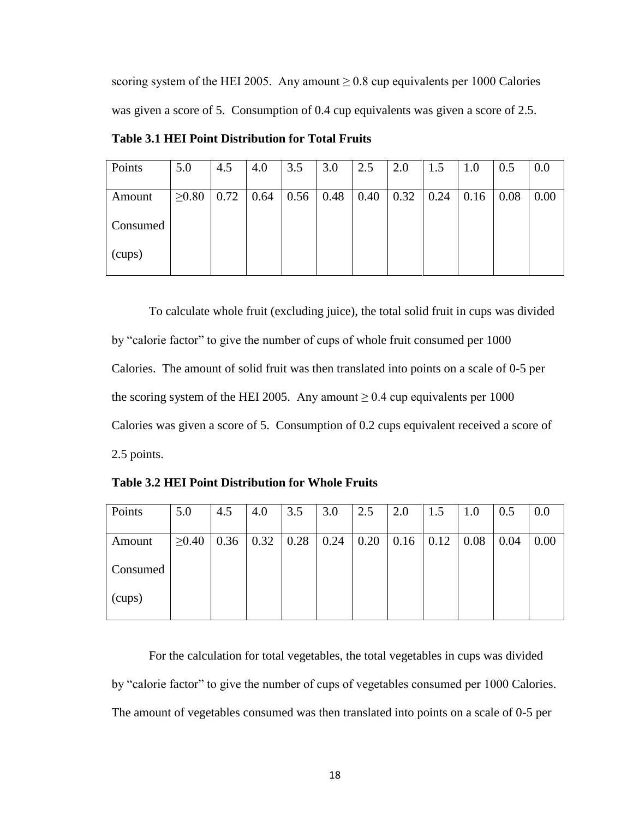scoring system of the HEI 2005. Any amount  $\geq 0.8$  cup equivalents per 1000 Calories was given a score of 5. Consumption of 0.4 cup equivalents was given a score of 2.5.

| Points   | 5.0         | 4.5  | 4.0  | 3.5  | 3.0  | 2.5  | 2.0  | 1.5  | 1.0  | 0.5  | 0.0  |
|----------|-------------|------|------|------|------|------|------|------|------|------|------|
| Amount   | $\geq 0.80$ | 0.72 | 0.64 | 0.56 | 0.48 | 0.40 | 0.32 | 0.24 | 0.16 | 0.08 | 0.00 |
| Consumed |             |      |      |      |      |      |      |      |      |      |      |
| (cups)   |             |      |      |      |      |      |      |      |      |      |      |

**Table 3.1 HEI Point Distribution for Total Fruits**

To calculate whole fruit (excluding juice), the total solid fruit in cups was divided by "calorie factor" to give the number of cups of whole fruit consumed per 1000 Calories. The amount of solid fruit was then translated into points on a scale of 0-5 per the scoring system of the HEI 2005. Any amount  $\geq 0.4$  cup equivalents per 1000 Calories was given a score of 5. Consumption of 0.2 cups equivalent received a score of 2.5 points.

**Table 3.2 HEI Point Distribution for Whole Fruits**

| 5.0         | 4.5 | 4.0 | 3.5 | 3.0                  | 2.5  | 2.0 | 1.5  | 1.0  | 0.5  | 0.0  |
|-------------|-----|-----|-----|----------------------|------|-----|------|------|------|------|
|             |     |     |     |                      |      |     |      |      |      |      |
| $\geq 0.40$ |     |     |     |                      | 0.20 |     | 0.12 | 0.08 | 0.04 | 0.00 |
|             |     |     |     |                      |      |     |      |      |      |      |
|             |     |     |     |                      |      |     |      |      |      |      |
|             |     |     |     |                      |      |     |      |      |      |      |
|             |     |     |     | $0.36$   0.32   0.28 | 0.24 |     | 0.16 |      |      |      |

For the calculation for total vegetables, the total vegetables in cups was divided by "calorie factor" to give the number of cups of vegetables consumed per 1000 Calories. The amount of vegetables consumed was then translated into points on a scale of 0-5 per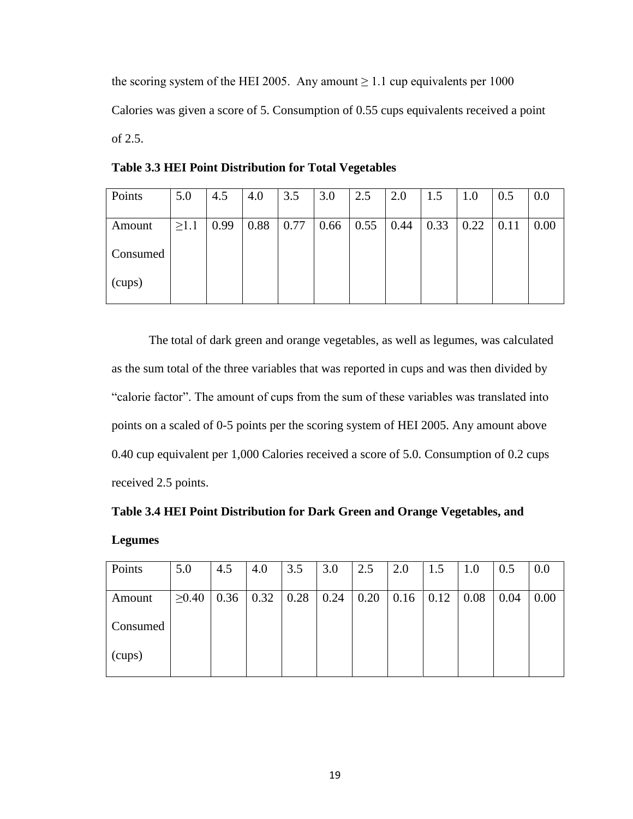the scoring system of the HEI 2005. Any amount  $\geq 1.1$  cup equivalents per 1000 Calories was given a score of 5. Consumption of 0.55 cups equivalents received a point of 2.5.

| Points   | 5.0        | 4.5  | 4.0  | 3.5  | 3.0  | 2.5  | 2.0  | 1.5  | 1.0  | 0.5  | 0.0  |
|----------|------------|------|------|------|------|------|------|------|------|------|------|
| Amount   | $\geq 1.1$ | 0.99 | 0.88 | 0.77 | 0.66 | 0.55 | 0.44 | 0.33 | 0.22 | 0.11 | 0.00 |
| Consumed |            |      |      |      |      |      |      |      |      |      |      |
| (cups)   |            |      |      |      |      |      |      |      |      |      |      |

**Table 3.3 HEI Point Distribution for Total Vegetables**

The total of dark green and orange vegetables, as well as legumes, was calculated as the sum total of the three variables that was reported in cups and was then divided by "calorie factor". The amount of cups from the sum of these variables was translated into points on a scaled of 0-5 points per the scoring system of HEI 2005. Any amount above 0.40 cup equivalent per 1,000 Calories received a score of 5.0. Consumption of 0.2 cups received 2.5 points.

|                | Table 3.4 HEI Point Distribution for Dark Green and Orange Vegetables, and |  |  |  |
|----------------|----------------------------------------------------------------------------|--|--|--|
| <b>Legumes</b> |                                                                            |  |  |  |

| Points   | 5.0         | 4.5  | 4.0  | 3.5  | 3.0  | 2.5  | 2.0  | 1.5  | 1.0  | 0.5  | 0.0  |
|----------|-------------|------|------|------|------|------|------|------|------|------|------|
|          |             |      |      |      |      |      |      |      |      |      |      |
| Amount   | $\geq 0.40$ | 0.36 | 0.32 | 0.28 | 0.24 | 0.20 | 0.16 | 0.12 | 0.08 | 0.04 | 0.00 |
|          |             |      |      |      |      |      |      |      |      |      |      |
| Consumed |             |      |      |      |      |      |      |      |      |      |      |
|          |             |      |      |      |      |      |      |      |      |      |      |
| (cups)   |             |      |      |      |      |      |      |      |      |      |      |
|          |             |      |      |      |      |      |      |      |      |      |      |
|          |             |      |      |      |      |      |      |      |      |      |      |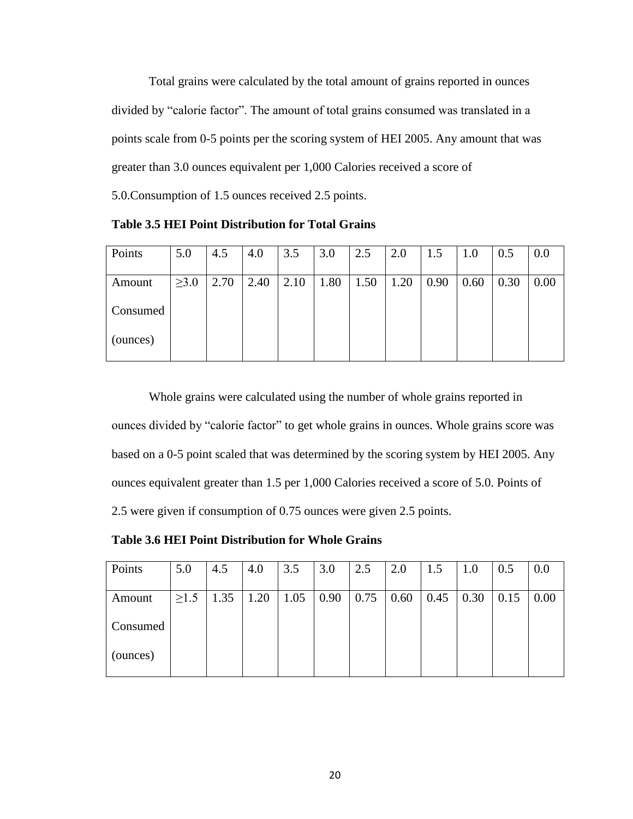Total grains were calculated by the total amount of grains reported in ounces divided by "calorie factor". The amount of total grains consumed was translated in a points scale from 0-5 points per the scoring system of HEI 2005. Any amount that was greater than 3.0 ounces equivalent per 1,000 Calories received a score of 5.0.Consumption of 1.5 ounces received 2.5 points.

**Table 3.5 HEI Point Distribution for Total Grains**

| Points   | 5.0        | 4.5  | 4.0  | 3.5  | 3.0  | 2.5  | 2.0  | 1.5  | 1.0  | 0.5  | 0.0  |
|----------|------------|------|------|------|------|------|------|------|------|------|------|
| Amount   | $\geq 3.0$ | 2.70 | 2.40 | 2.10 | 1.80 | 1.50 | 1.20 | 0.90 | 0.60 | 0.30 | 0.00 |
| Consumed |            |      |      |      |      |      |      |      |      |      |      |
| (ounces) |            |      |      |      |      |      |      |      |      |      |      |

Whole grains were calculated using the number of whole grains reported in ounces divided by "calorie factor" to get whole grains in ounces. Whole grains score was based on a 0-5 point scaled that was determined by the scoring system by HEI 2005. Any ounces equivalent greater than 1.5 per 1,000 Calories received a score of 5.0. Points of 2.5 were given if consumption of 0.75 ounces were given 2.5 points.

**Table 3.6 HEI Point Distribution for Whole Grains**

| Points   | 5.0        | 4.5  | 4.0  | 3.5  | 3.0  | 2.5  | 2.0  | 1.5  | 1.0  | 0.5  | 0.0  |
|----------|------------|------|------|------|------|------|------|------|------|------|------|
|          |            |      |      |      |      |      |      |      |      |      |      |
| Amount   | $\geq$ 1.5 | 1.35 | 1.20 | 1.05 | 0.90 | 0.75 | 0.60 | 0.45 | 0.30 | 0.15 | 0.00 |
|          |            |      |      |      |      |      |      |      |      |      |      |
| Consumed |            |      |      |      |      |      |      |      |      |      |      |
|          |            |      |      |      |      |      |      |      |      |      |      |
| (ounces) |            |      |      |      |      |      |      |      |      |      |      |
|          |            |      |      |      |      |      |      |      |      |      |      |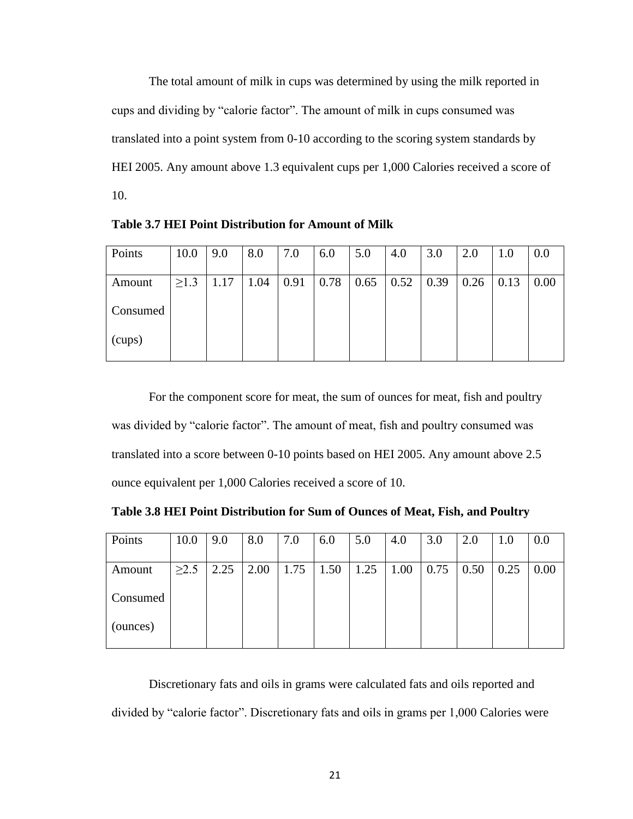The total amount of milk in cups was determined by using the milk reported in cups and dividing by "calorie factor". The amount of milk in cups consumed was translated into a point system from 0-10 according to the scoring system standards by HEI 2005. Any amount above 1.3 equivalent cups per 1,000 Calories received a score of 10.

Points | 10.0 | 9.0 | 8.0 | 7.0 | 6.0 | 5.0 | 4.0 | 3.0 | 2.0 | 1.0 | 0.0 Amount Consumed (cups)  $\geq$ 1.3 | 1.17 | 1.04 | 0.91 | 0.78 | 0.65 | 0.52 | 0.39 | 0.26 | 0.13 | 0.00

**Table 3.7 HEI Point Distribution for Amount of Milk**

For the component score for meat, the sum of ounces for meat, fish and poultry was divided by "calorie factor". The amount of meat, fish and poultry consumed was translated into a score between 0-10 points based on HEI 2005. Any amount above 2.5 ounce equivalent per 1,000 Calories received a score of 10.

**Table 3.8 HEI Point Distribution for Sum of Ounces of Meat, Fish, and Poultry**

| Points   | 10.0       | 9.0  | 8.0  | 7.0  | 6.0  | 5.0  | 4.0  | 3.0  | 2.0  | 1.0  | 0.0  |
|----------|------------|------|------|------|------|------|------|------|------|------|------|
|          |            |      |      |      |      |      |      |      |      |      |      |
| Amount   | $\geq$ 2.5 | 2.25 | 2.00 | 1.75 | 1.50 | 1.25 | 1.00 | 0.75 | 0.50 | 0.25 | 0.00 |
|          |            |      |      |      |      |      |      |      |      |      |      |
| Consumed |            |      |      |      |      |      |      |      |      |      |      |
|          |            |      |      |      |      |      |      |      |      |      |      |
| (ounces) |            |      |      |      |      |      |      |      |      |      |      |
|          |            |      |      |      |      |      |      |      |      |      |      |

Discretionary fats and oils in grams were calculated fats and oils reported and divided by "calorie factor". Discretionary fats and oils in grams per 1,000 Calories were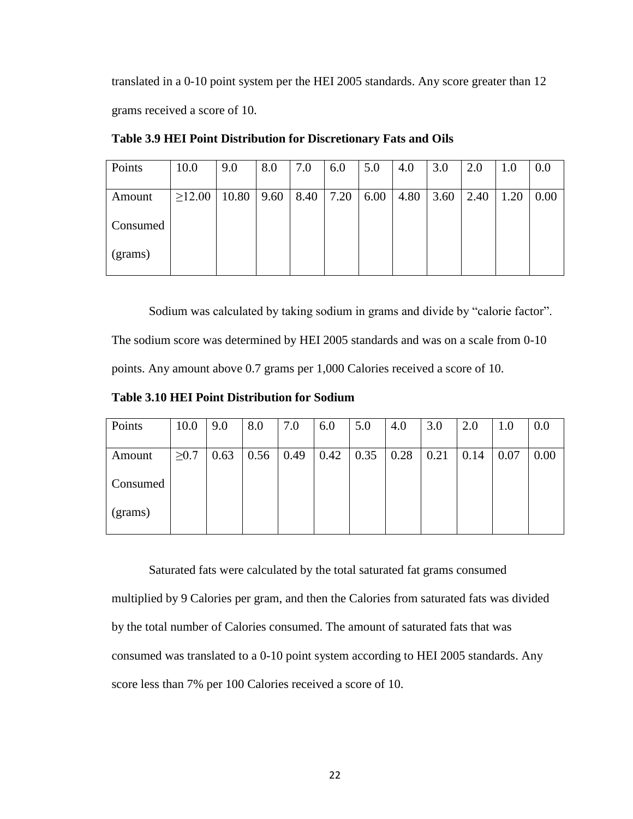translated in a 0-10 point system per the HEI 2005 standards. Any score greater than 12 grams received a score of 10.

| Points   | 10.0         | 9.0   | 8.0  | 7.0  | 6.0  | 5.0  | 4.0  | 3.0  | 2.0  | 1.0  | 0.0  |
|----------|--------------|-------|------|------|------|------|------|------|------|------|------|
| Amount   | $\geq$ 12.00 | 10.80 | 9.60 | 8.40 | 7.20 | 6.00 | 4.80 | 3.60 | 2.40 | 1.20 | 0.00 |
| Consumed |              |       |      |      |      |      |      |      |      |      |      |
| (grams)  |              |       |      |      |      |      |      |      |      |      |      |

**Table 3.9 HEI Point Distribution for Discretionary Fats and Oils**

Sodium was calculated by taking sodium in grams and divide by "calorie factor".

The sodium score was determined by HEI 2005 standards and was on a scale from 0-10

points. Any amount above 0.7 grams per 1,000 Calories received a score of 10.

**Table 3.10 HEI Point Distribution for Sodium**

| Points   | 10.0       | 9.0  | 8.0  | 7.0  | 6.0  | 5.0  | 4.0  | 3.0  | 2.0  | 1.0  | 0.0  |
|----------|------------|------|------|------|------|------|------|------|------|------|------|
| Amount   | $\geq 0.7$ | 0.63 | 0.56 | 0.49 | 0.42 | 0.35 | 0.28 | 0.21 | 0.14 | 0.07 | 0.00 |
| Consumed |            |      |      |      |      |      |      |      |      |      |      |
| (grams)  |            |      |      |      |      |      |      |      |      |      |      |

Saturated fats were calculated by the total saturated fat grams consumed

multiplied by 9 Calories per gram, and then the Calories from saturated fats was divided by the total number of Calories consumed. The amount of saturated fats that was consumed was translated to a 0-10 point system according to HEI 2005 standards. Any score less than 7% per 100 Calories received a score of 10.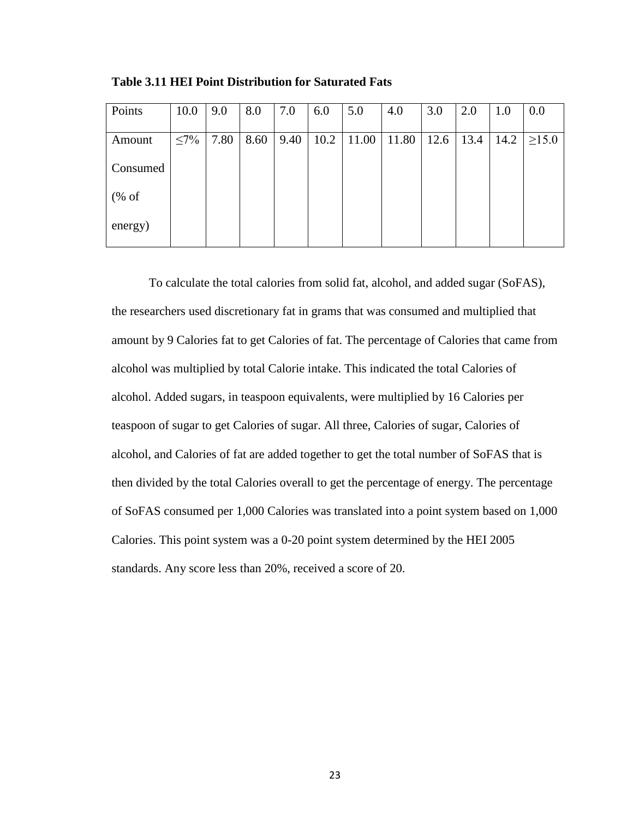| Points                           | 10.0       | 9.0  | 8.0  | 7.0  | 6.0  | 5.0   | 4.0   | 3.0  | 2.0  | 1.0  | 0.0         |
|----------------------------------|------------|------|------|------|------|-------|-------|------|------|------|-------------|
| Amount                           | $\leq 7\%$ | 7.80 | 8.60 | 9.40 | 10.2 | 11.00 | 11.80 | 12.6 | 13.4 | 14.2 | $\geq$ 15.0 |
| Consumed                         |            |      |      |      |      |       |       |      |      |      |             |
| $(% \mathcal{L}_{0}^{\infty}$ of |            |      |      |      |      |       |       |      |      |      |             |
| energy)                          |            |      |      |      |      |       |       |      |      |      |             |

**Table 3.11 HEI Point Distribution for Saturated Fats**

To calculate the total calories from solid fat, alcohol, and added sugar (SoFAS), the researchers used discretionary fat in grams that was consumed and multiplied that amount by 9 Calories fat to get Calories of fat. The percentage of Calories that came from alcohol was multiplied by total Calorie intake. This indicated the total Calories of alcohol. Added sugars, in teaspoon equivalents, were multiplied by 16 Calories per teaspoon of sugar to get Calories of sugar. All three, Calories of sugar, Calories of alcohol, and Calories of fat are added together to get the total number of SoFAS that is then divided by the total Calories overall to get the percentage of energy. The percentage of SoFAS consumed per 1,000 Calories was translated into a point system based on 1,000 Calories. This point system was a 0-20 point system determined by the HEI 2005 standards. Any score less than 20%, received a score of 20.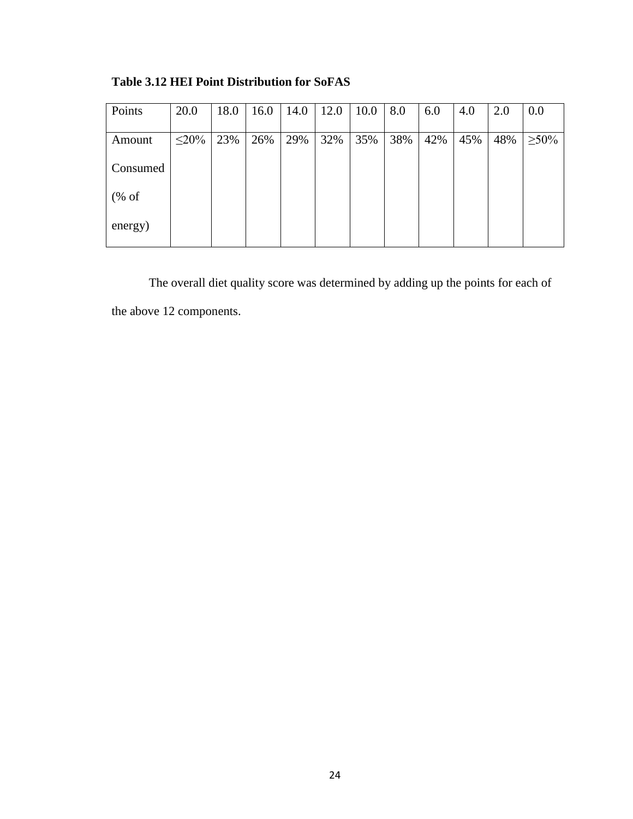| Points                           | 20.0       | 18.0 | 16.0 | 14.0 | 12.0 | 10.0 | 8.0 | 6.0 | 4.0 | 2.0 | 0.0         |
|----------------------------------|------------|------|------|------|------|------|-----|-----|-----|-----|-------------|
| Amount                           | $\leq$ 20% | 23%  | 26%  | 29%  | 32%  | 35%  | 38% | 42% | 45% | 48% | $\geq 50\%$ |
| Consumed                         |            |      |      |      |      |      |     |     |     |     |             |
| $(% \mathcal{L}_{0}^{\infty}$ of |            |      |      |      |      |      |     |     |     |     |             |
| energy)                          |            |      |      |      |      |      |     |     |     |     |             |

**Table 3.12 HEI Point Distribution for SoFAS**

The overall diet quality score was determined by adding up the points for each of the above 12 components.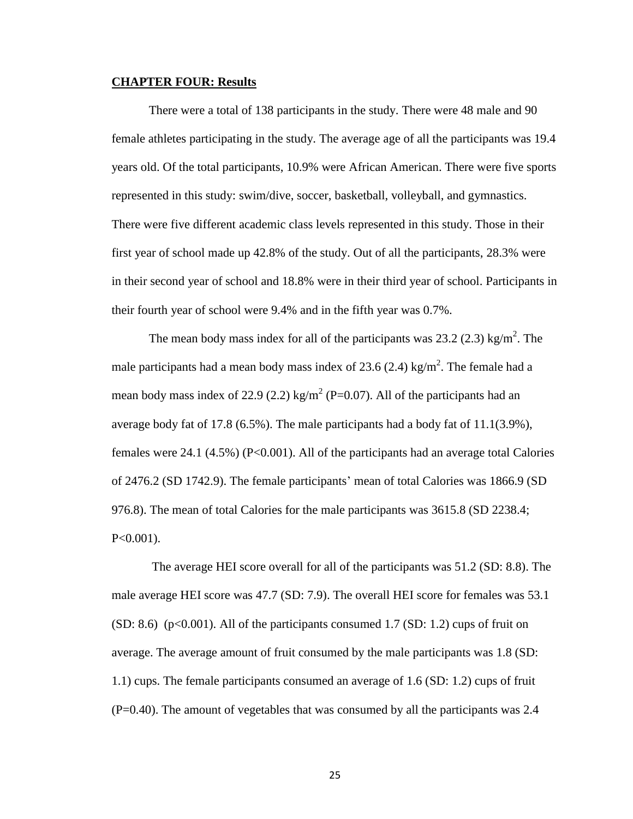#### <span id="page-33-0"></span>**CHAPTER FOUR: Results**

There were a total of 138 participants in the study. There were 48 male and 90 female athletes participating in the study. The average age of all the participants was 19.4 years old. Of the total participants, 10.9% were African American. There were five sports represented in this study: swim/dive, soccer, basketball, volleyball, and gymnastics. There were five different academic class levels represented in this study. Those in their first year of school made up 42.8% of the study. Out of all the participants, 28.3% were in their second year of school and 18.8% were in their third year of school. Participants in their fourth year of school were 9.4% and in the fifth year was 0.7%.

The mean body mass index for all of the participants was  $23.2$  (2.3) kg/m<sup>2</sup>. The male participants had a mean body mass index of 23.6 (2.4) kg/m<sup>2</sup>. The female had a mean body mass index of 22.9 (2.2) kg/m<sup>2</sup> (P=0.07). All of the participants had an average body fat of 17.8 (6.5%). The male participants had a body fat of 11.1(3.9%), females were 24.1 (4.5%) (P<0.001). All of the participants had an average total Calories of 2476.2 (SD 1742.9). The female participants' mean of total Calories was 1866.9 (SD 976.8). The mean of total Calories for the male participants was 3615.8 (SD 2238.4; P<0.001).

The average HEI score overall for all of the participants was 51.2 (SD: 8.8). The male average HEI score was 47.7 (SD: 7.9). The overall HEI score for females was 53.1  $(SD: 8.6)$  (p<0.001). All of the participants consumed 1.7  $(SD: 1.2)$  cups of fruit on average. The average amount of fruit consumed by the male participants was 1.8 (SD: 1.1) cups. The female participants consumed an average of 1.6 (SD: 1.2) cups of fruit (P=0.40). The amount of vegetables that was consumed by all the participants was 2.4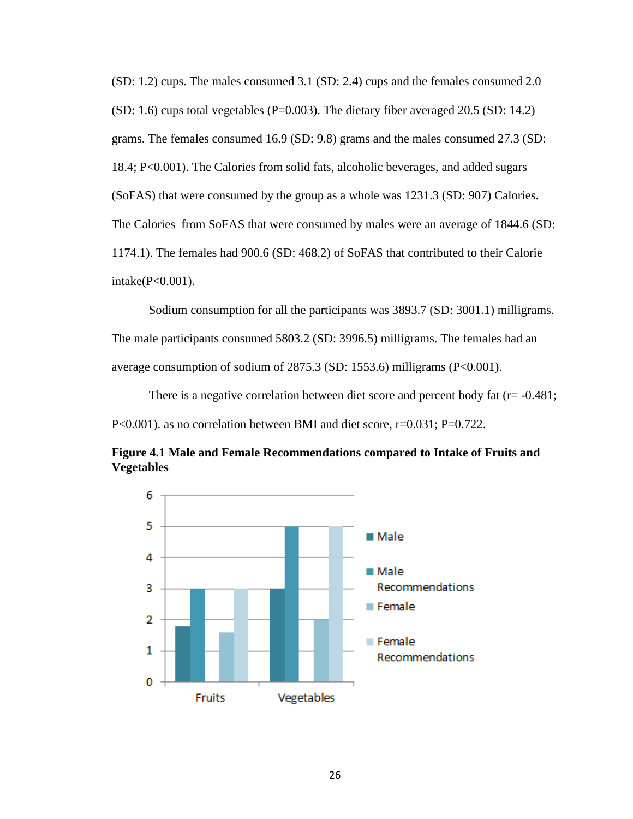(SD: 1.2) cups. The males consumed 3.1 (SD: 2.4) cups and the females consumed 2.0  $(SD: 1.6)$  cups total vegetables  $(P=0.003)$ . The dietary fiber averaged 20.5  $(SD: 14.2)$ grams. The females consumed 16.9 (SD: 9.8) grams and the males consumed 27.3 (SD: 18.4; P<0.001). The Calories from solid fats, alcoholic beverages, and added sugars (SoFAS) that were consumed by the group as a whole was 1231.3 (SD: 907) Calories. The Calories from SoFAS that were consumed by males were an average of 1844.6 (SD: 1174.1). The females had 900.6 (SD: 468.2) of SoFAS that contributed to their Calorie intake(P<0.001).

Sodium consumption for all the participants was 3893.7 (SD: 3001.1) milligrams. The male participants consumed 5803.2 (SD: 3996.5) milligrams. The females had an average consumption of sodium of 2875.3 (SD: 1553.6) milligrams (P<0.001).

There is a negative correlation between diet score and percent body fat  $(r = -0.481;$ P<0.001). as no correlation between BMI and diet score, r=0.031; P=0.722.



**Figure 4.1 Male and Female Recommendations compared to Intake of Fruits and Vegetables**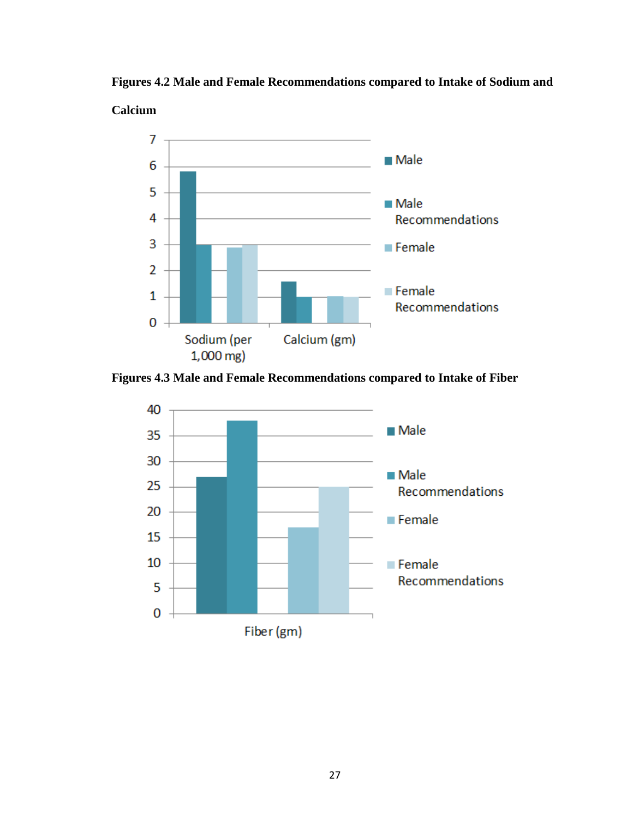

**Figures 4.2 Male and Female Recommendations compared to Intake of Sodium and** 



**Figures 4.3 Male and Female Recommendations compared to Intake of Fiber**

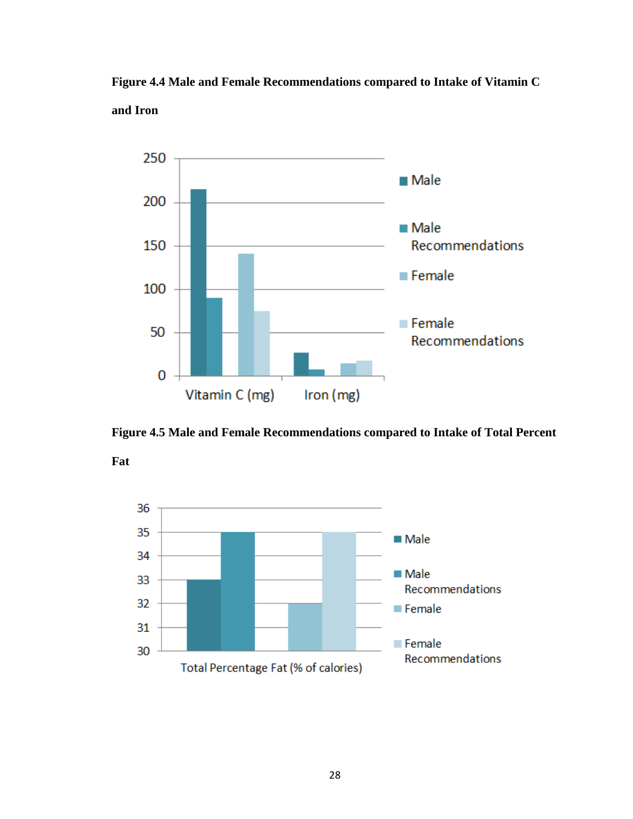





**Fat**

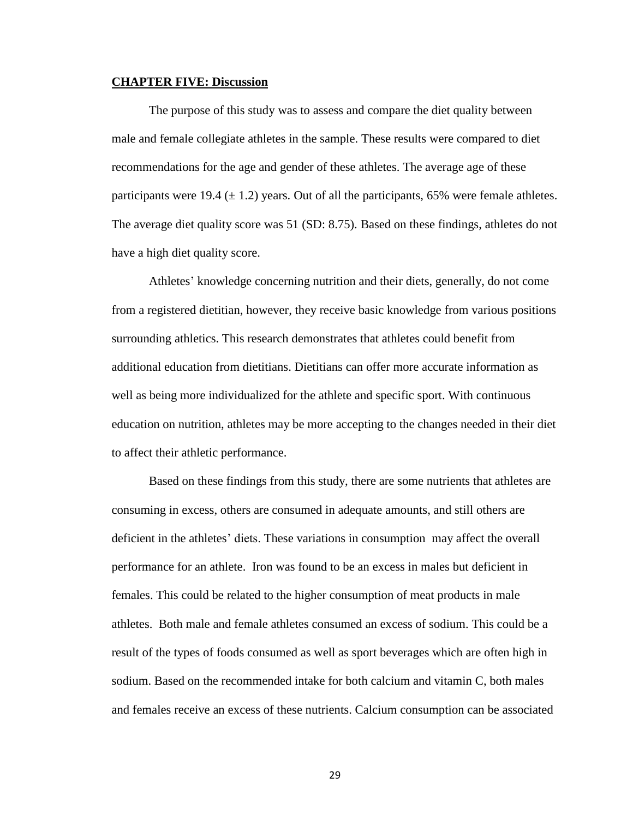#### <span id="page-37-0"></span>**CHAPTER FIVE: Discussion**

The purpose of this study was to assess and compare the diet quality between male and female collegiate athletes in the sample. These results were compared to diet recommendations for the age and gender of these athletes. The average age of these participants were 19.4  $(\pm 1.2)$  years. Out of all the participants, 65% were female athletes. The average diet quality score was 51 (SD: 8.75). Based on these findings, athletes do not have a high diet quality score.

Athletes' knowledge concerning nutrition and their diets, generally, do not come from a registered dietitian, however, they receive basic knowledge from various positions surrounding athletics. This research demonstrates that athletes could benefit from additional education from dietitians. Dietitians can offer more accurate information as well as being more individualized for the athlete and specific sport. With continuous education on nutrition, athletes may be more accepting to the changes needed in their diet to affect their athletic performance.

Based on these findings from this study, there are some nutrients that athletes are consuming in excess, others are consumed in adequate amounts, and still others are deficient in the athletes' diets. These variations in consumption may affect the overall performance for an athlete. Iron was found to be an excess in males but deficient in females. This could be related to the higher consumption of meat products in male athletes. Both male and female athletes consumed an excess of sodium. This could be a result of the types of foods consumed as well as sport beverages which are often high in sodium. Based on the recommended intake for both calcium and vitamin C, both males and females receive an excess of these nutrients. Calcium consumption can be associated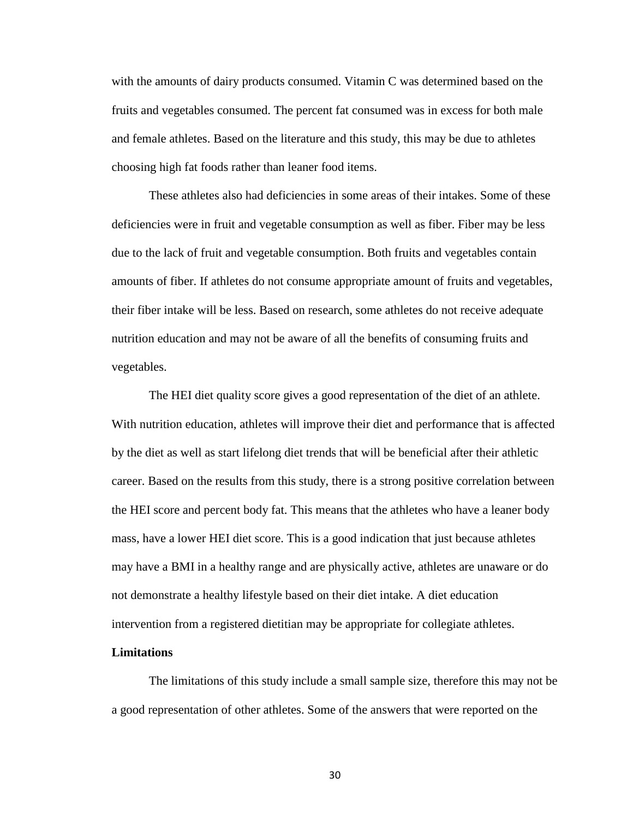with the amounts of dairy products consumed. Vitamin C was determined based on the fruits and vegetables consumed. The percent fat consumed was in excess for both male and female athletes. Based on the literature and this study, this may be due to athletes choosing high fat foods rather than leaner food items.

These athletes also had deficiencies in some areas of their intakes. Some of these deficiencies were in fruit and vegetable consumption as well as fiber. Fiber may be less due to the lack of fruit and vegetable consumption. Both fruits and vegetables contain amounts of fiber. If athletes do not consume appropriate amount of fruits and vegetables, their fiber intake will be less. Based on research, some athletes do not receive adequate nutrition education and may not be aware of all the benefits of consuming fruits and vegetables.

The HEI diet quality score gives a good representation of the diet of an athlete. With nutrition education, athletes will improve their diet and performance that is affected by the diet as well as start lifelong diet trends that will be beneficial after their athletic career. Based on the results from this study, there is a strong positive correlation between the HEI score and percent body fat. This means that the athletes who have a leaner body mass, have a lower HEI diet score. This is a good indication that just because athletes may have a BMI in a healthy range and are physically active, athletes are unaware or do not demonstrate a healthy lifestyle based on their diet intake. A diet education intervention from a registered dietitian may be appropriate for collegiate athletes.

#### <span id="page-38-0"></span>**Limitations**

The limitations of this study include a small sample size, therefore this may not be a good representation of other athletes. Some of the answers that were reported on the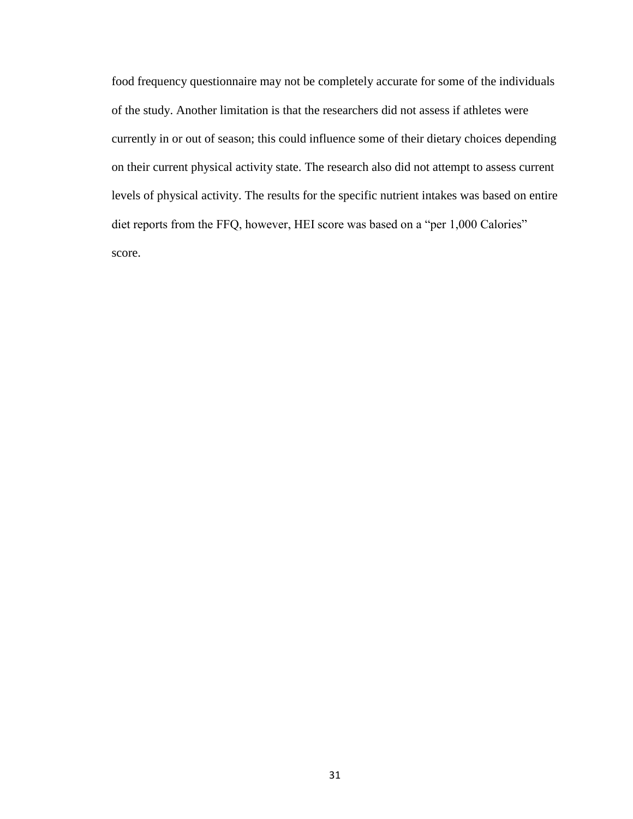food frequency questionnaire may not be completely accurate for some of the individuals of the study. Another limitation is that the researchers did not assess if athletes were currently in or out of season; this could influence some of their dietary choices depending on their current physical activity state. The research also did not attempt to assess current levels of physical activity. The results for the specific nutrient intakes was based on entire diet reports from the FFQ, however, HEI score was based on a "per 1,000 Calories" score.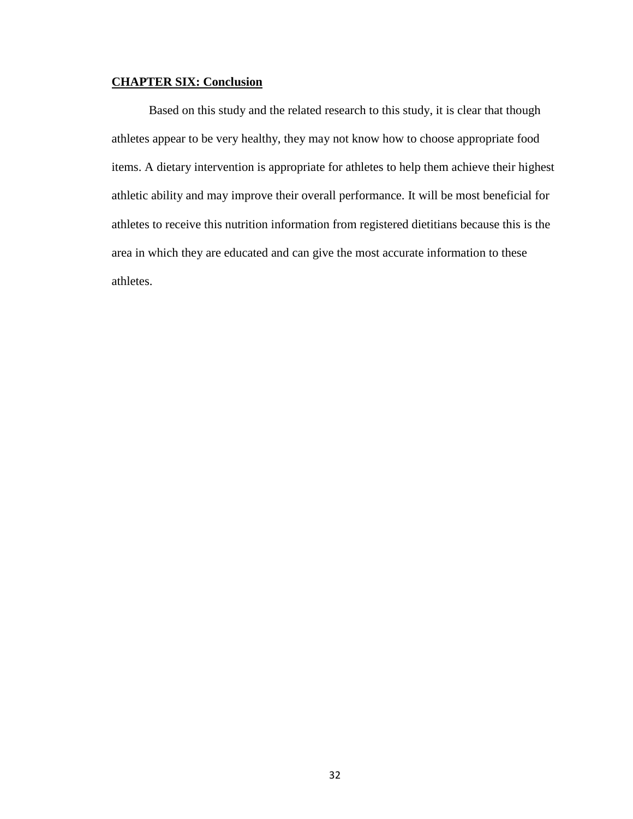# <span id="page-40-0"></span>**CHAPTER SIX: Conclusion**

Based on this study and the related research to this study, it is clear that though athletes appear to be very healthy, they may not know how to choose appropriate food items. A dietary intervention is appropriate for athletes to help them achieve their highest athletic ability and may improve their overall performance. It will be most beneficial for athletes to receive this nutrition information from registered dietitians because this is the area in which they are educated and can give the most accurate information to these athletes.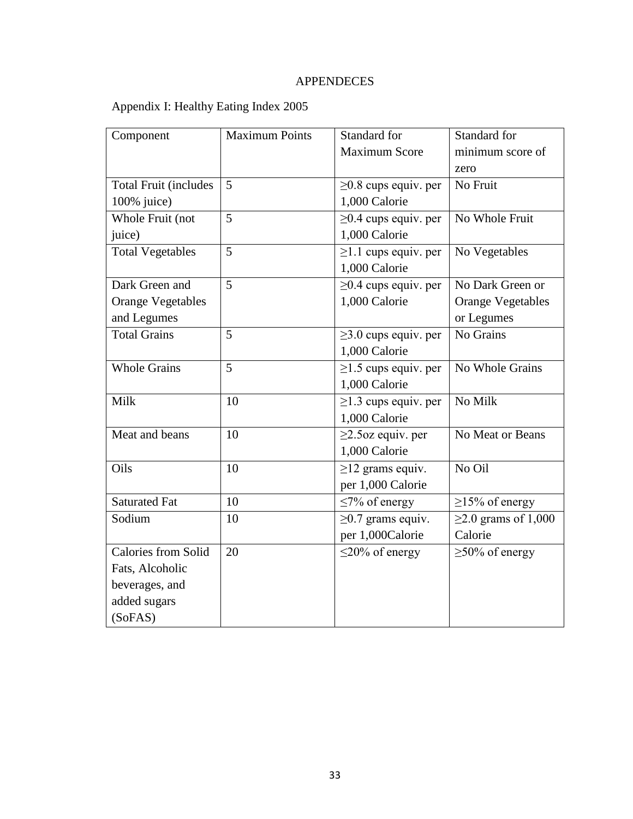# APPENDECES

# <span id="page-41-1"></span><span id="page-41-0"></span>Appendix I: Healthy Eating Index 2005

| Component                    | <b>Maximum Points</b> | Standard for               | Standard for              |
|------------------------------|-----------------------|----------------------------|---------------------------|
|                              |                       | <b>Maximum Score</b>       | minimum score of          |
|                              |                       |                            | zero                      |
| <b>Total Fruit (includes</b> | 5                     | $\geq$ 0.8 cups equiv. per | No Fruit                  |
| 100% juice)                  |                       | 1,000 Calorie              |                           |
| Whole Fruit (not             | 5                     | $\geq$ 0.4 cups equiv. per | No Whole Fruit            |
| juice)                       |                       | 1,000 Calorie              |                           |
| <b>Total Vegetables</b>      | 5                     | $\geq$ 1.1 cups equiv. per | No Vegetables             |
|                              |                       | 1,000 Calorie              |                           |
| Dark Green and               | $\overline{5}$        | $\geq$ 0.4 cups equiv. per | No Dark Green or          |
| <b>Orange Vegetables</b>     |                       | 1,000 Calorie              | <b>Orange Vegetables</b>  |
| and Legumes                  |                       |                            | or Legumes                |
| <b>Total Grains</b>          | 5                     | $\geq$ 3.0 cups equiv. per | No Grains                 |
|                              |                       | 1,000 Calorie              |                           |
| <b>Whole Grains</b>          | 5                     | $\geq$ 1.5 cups equiv. per | No Whole Grains           |
|                              |                       | 1,000 Calorie              |                           |
| Milk                         | 10                    | $\geq$ 1.3 cups equiv. per | No Milk                   |
|                              |                       | 1,000 Calorie              |                           |
| Meat and beans               | 10                    | $\geq$ 2.5 oz equiv. per   | No Meat or Beans          |
|                              |                       | 1,000 Calorie              |                           |
| Oils                         | 10                    | $\geq$ 12 grams equiv.     | No Oil                    |
|                              |                       | per 1,000 Calorie          |                           |
| <b>Saturated Fat</b>         | 10                    | $\leq$ 7% of energy        | $\geq$ 15% of energy      |
| Sodium                       | 10                    | $\geq$ 0.7 grams equiv.    | $\geq$ 2.0 grams of 1,000 |
|                              |                       | per 1,000Calorie           | Calorie                   |
| <b>Calories from Solid</b>   | 20                    | $\leq$ 20% of energy       | $\geq$ 50% of energy      |
| Fats, Alcoholic              |                       |                            |                           |
| beverages, and               |                       |                            |                           |
| added sugars                 |                       |                            |                           |
| (SoFAS)                      |                       |                            |                           |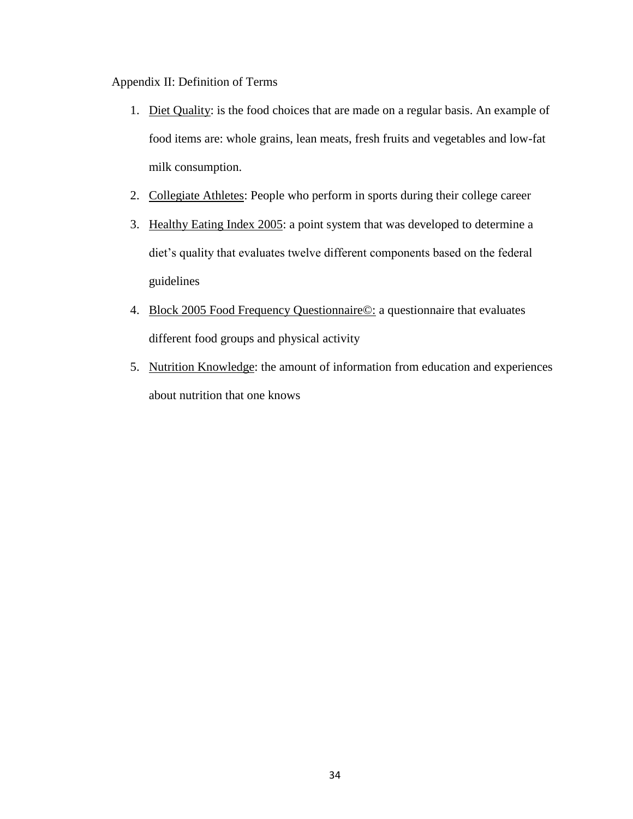<span id="page-42-0"></span>Appendix II: Definition of Terms

- 1. Diet Quality: is the food choices that are made on a regular basis. An example of food items are: whole grains, lean meats, fresh fruits and vegetables and low-fat milk consumption.
- 2. Collegiate Athletes: People who perform in sports during their college career
- 3. Healthy Eating Index 2005: a point system that was developed to determine a diet's quality that evaluates twelve different components based on the federal guidelines
- 4. Block 2005 Food Frequency Questionnaire©: a questionnaire that evaluates different food groups and physical activity
- 5. Nutrition Knowledge: the amount of information from education and experiences about nutrition that one knows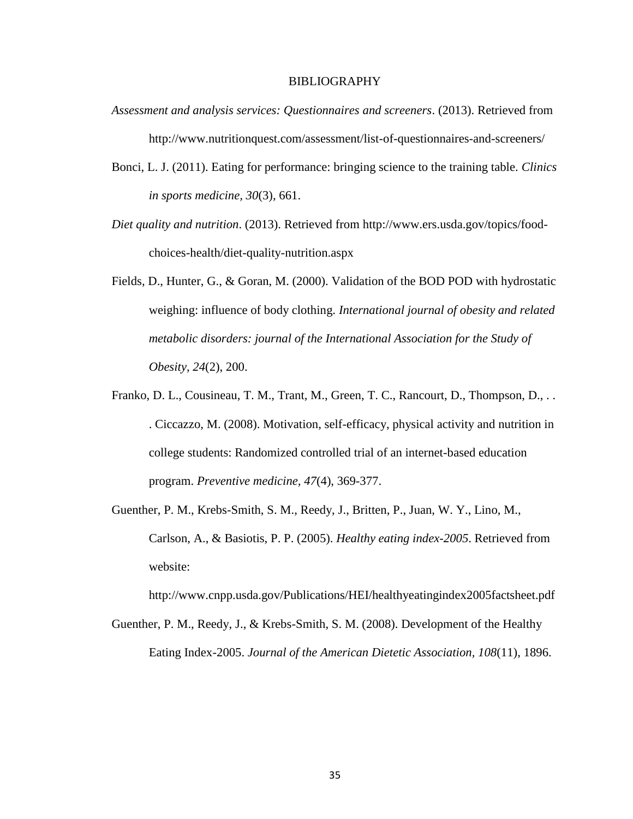#### BIBLIOGRAPHY

- <span id="page-43-0"></span>*Assessment and analysis services: Questionnaires and screeners*. (2013). Retrieved from http://www.nutritionquest.com/assessment/list-of-questionnaires-and-screeners/
- Bonci, L. J. (2011). Eating for performance: bringing science to the training table. *Clinics in sports medicine, 30*(3), 661.
- *Diet quality and nutrition*. (2013). Retrieved from http://www.ers.usda.gov/topics/foodchoices-health/diet-quality-nutrition.aspx
- Fields, D., Hunter, G., & Goran, M. (2000). Validation of the BOD POD with hydrostatic weighing: influence of body clothing. *International journal of obesity and related metabolic disorders: journal of the International Association for the Study of Obesity, 24*(2), 200.
- Franko, D. L., Cousineau, T. M., Trant, M., Green, T. C., Rancourt, D., Thompson, D., .. . Ciccazzo, M. (2008). Motivation, self-efficacy, physical activity and nutrition in college students: Randomized controlled trial of an internet-based education program. *Preventive medicine, 47*(4), 369-377.
- Guenther, P. M., Krebs-Smith, S. M., Reedy, J., Britten, P., Juan, W. Y., Lino, M., Carlson, A., & Basiotis, P. P. (2005). *Healthy eating index-2005*. Retrieved from website:

http://www.cnpp.usda.gov/Publications/HEI/healthyeatingindex2005factsheet.pdf

Guenther, P. M., Reedy, J., & Krebs-Smith, S. M. (2008). Development of the Healthy Eating Index-2005. *Journal of the American Dietetic Association, 108*(11), 1896.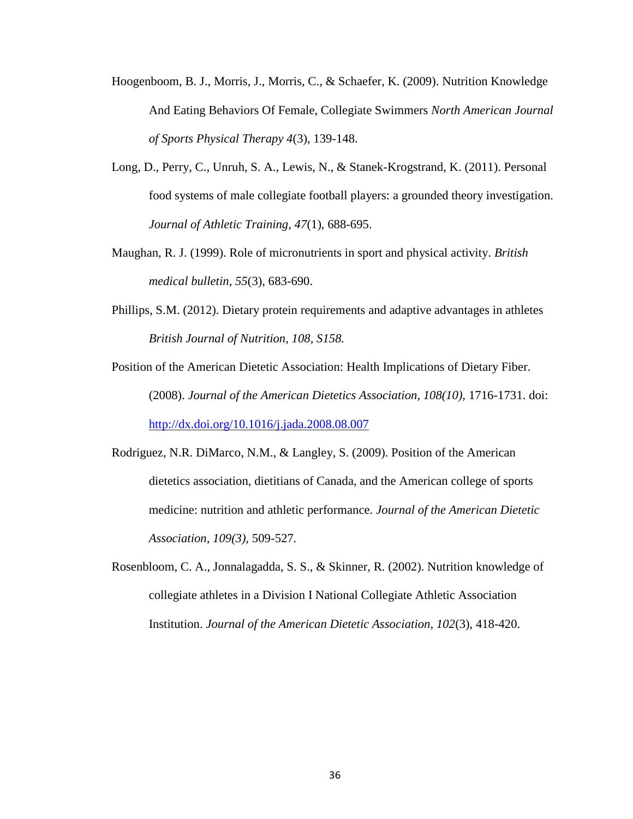- Hoogenboom, B. J., Morris, J., Morris, C., & Schaefer, K. (2009). Nutrition Knowledge And Eating Behaviors Of Female, Collegiate Swimmers *North American Journal of Sports Physical Therapy 4*(3), 139-148.
- Long, D., Perry, C., Unruh, S. A., Lewis, N., & Stanek-Krogstrand, K. (2011). Personal food systems of male collegiate football players: a grounded theory investigation. *Journal of Athletic Training, 47*(1), 688-695.
- Maughan, R. J. (1999). Role of micronutrients in sport and physical activity. *British medical bulletin, 55*(3), 683-690.
- Phillips, S.M. (2012). Dietary protein requirements and adaptive advantages in athletes *British Journal of Nutrition, 108, S158.*
- Position of the American Dietetic Association: Health Implications of Dietary Fiber. (2008). *Journal of the American Dietetics Association, 108(10),* 1716-1731. doi: <http://dx.doi.org/10.1016/j.jada.2008.08.007>
- Rodriguez, N.R. DiMarco, N.M., & Langley, S. (2009). Position of the American dietetics association, dietitians of Canada, and the American college of sports medicine: nutrition and athletic performance. *Journal of the American Dietetic Association, 109(3),* 509-527*.*
- Rosenbloom, C. A., Jonnalagadda, S. S., & Skinner, R. (2002). Nutrition knowledge of collegiate athletes in a Division I National Collegiate Athletic Association Institution. *Journal of the American Dietetic Association, 102*(3), 418-420.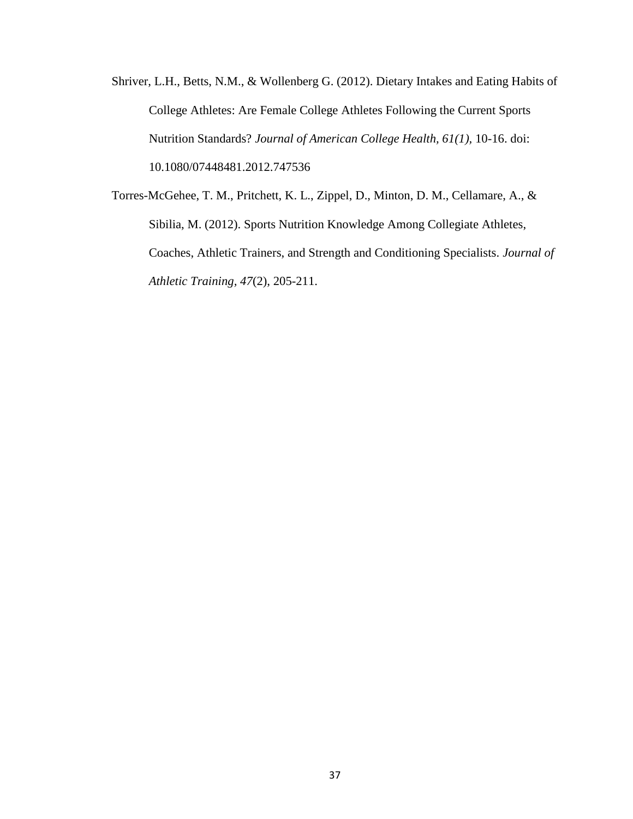Shriver, L.H., Betts, N.M., & Wollenberg G. (2012). Dietary Intakes and Eating Habits of College Athletes: Are Female College Athletes Following the Current Sports Nutrition Standards? *Journal of American College Health, 61(1),* 10-16. doi: 10.1080/07448481.2012.747536

Torres-McGehee, T. M., Pritchett, K. L., Zippel, D., Minton, D. M., Cellamare, A., & Sibilia, M. (2012). Sports Nutrition Knowledge Among Collegiate Athletes, Coaches, Athletic Trainers, and Strength and Conditioning Specialists. *Journal of Athletic Training, 47*(2), 205-211.